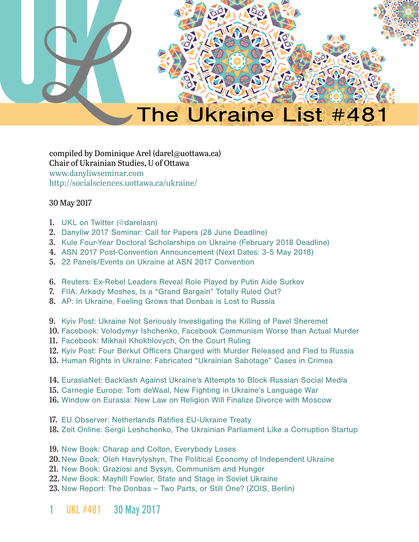

compiled by Dominique Arel (darel@uottawa.ca) Chair of Ukrainian Studies, U of Ottawa [www.danyliwseminar.com](http://www.danyliwseminar.com) <http://socialsciences.uottawa.ca/ukraine/>

### 30 May 2017

- <span id="page-0-0"></span>1. [UKL on Twitter \(@darelasn\)](#page-1-0)
- 2. [Danyliw 2017 Seminar: Call for Papers \(28 June Deadline\)](#page-1-1)
- 3. [Kule Four-Year Doctoral Scholarships on Ukraine \(February 2018 Deadline\)](#page-3-0)
- 4. [ASN 2017 Post-Convention Announcement \(Next Dates: 3-5 May 2018\)](#page-4-0)
- 5. [22 Panels/Events on Ukraine at ASN 2017 Convention](#page-6-0)
- 6. [Reuters: Ex-Rebel Leaders Reveal Role Played by Putin Aide Surkov](#page-7-0)
- 7. FIIA: Arkady Moshes, Is a "Grand Bargain" Totally Ruled Out?
- 8. [AP: In Ukraine, Feeling Grows that Donbas is Lost to Russia](#page-12-0)
- 9. [Kyiv Post: Ukraine Not Seriously Investigating the Killing of Pavel Sheremet](#page-15-0)
- 10. [Facebook: Volodymyr Ishchenko, Facebook Communism Worse than Actual Murder](#page-18-0)
- 11. [Facebook: Mikhail Khokhlovych, On the Court Ruling](#page-19-0)
- 12. [Kyiv Post: Four Berkut Officers Charged with Murder Released and Fled to Russia](#page-19-0)
- 13. Human Rights in Ukraine: Fabricated "Ukrainian Sabotage" Cases in Crimea
- 14. EurasiaNet: Backlash Against Ukraine's Attempts to Block Russian Social Media
- 15. Carnegie Europe: Tom deWaal, New Fighting in Ukraine's Language War
- 16. [Window on Eurasia: New Law on Religion Will Finalize Divorce with Moscow](#page-33-0)
- 17. [EU Observer: Netherlands Ratifies EU-Ukraine Treaty](#page-35-0)
- 18. [Zeit Online: Sergii Leshchenko, The Ukrainian Parliament Like a Corruption Startup](#page-37-0)
- 19. [New Book: Charap and Colton, Everybody Loses](#page-40-0)
- 20. [New Book: Oleh Havrylyshyn, The Political Economy of Independent Ukraine](#page-41-0)
- 21. [New Book: Graziosi and Sysyn, Communism and Hunger](#page-41-1)
- 22. [New Book: Mayhill Fowler, State and Stage in Soviet Ukraine](#page-42-0)
- 23. [New Report: The Donbas Two Parts, or Still One? \(ZOIS, Berlin\)](#page-43-0)
- 1 UKL #481 30 May 2017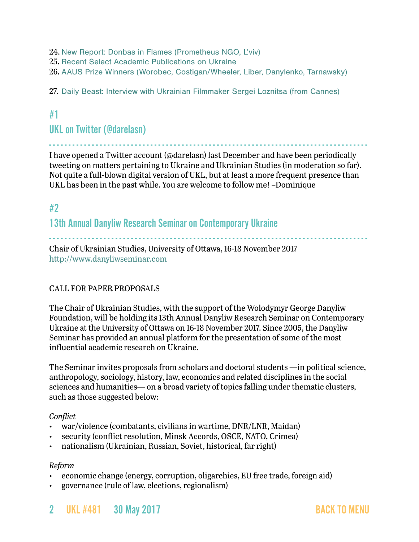- 24. [New Report: Donbas in Flames \(Prometheus NGO, L'viv\)](#page-43-1)
- 25. [Recent Select Academic Publications on Ukraine](#page-44-0)
- 26. [AAUS Prize Winners \(Worobec, Costigan/Wheeler, Liber, Danylenko, Tarnawsky\)](#page-44-1)

27. Daily Beast: Interview with Ukrainian Filmmaker Sergei Loznitsa (from Cannes)

### <span id="page-1-0"></span>#1

## UKL on Twitter (@darelasn)

- - - - - - - - - - - - - - - - - - - - - - - - - - - - - - - - - - - - - - - - - - - - - - - - - - - - - - - - - - - - - - - - - - - - - - - - - - - - - - - - - - I have opened a Twitter account (@darelasn) last December and have been periodically tweeting on matters pertaining to Ukraine and Ukrainian Studies (in moderation so far). Not quite a full-blown digital version of UKL, but at least a more frequent presence than UKL has been in the past while. You are welcome to follow me! –Dominique

## <span id="page-1-1"></span>#2

13th Annual Danyliw Research Seminar on Contemporary Ukraine

- - - - - - - - - - - - - - - - - - - - - - - - - - - - - - - - - - - - - - - - - - - - - - - - - - - - - - - - - - - - - - - - - - - - - - - - - - - - - - - - - -

Chair of Ukrainian Studies, University of Ottawa, 16-18 November 2017 <http://www.danyliwseminar.com>

### CALL FOR PAPER PROPOSALS

The Chair of Ukrainian Studies, with the support of the Wolodymyr George Danyliw Foundation, will be holding its 13th Annual Danyliw Research Seminar on Contemporary Ukraine at the University of Ottawa on 16-18 November 2017. Since 2005, the Danyliw Seminar has provided an annual platform for the presentation of some of the most influential academic research on Ukraine.

The Seminar invites proposals from scholars and doctoral students —in political science, anthropology, sociology, history, law, economics and related disciplines in the social sciences and humanities— on a broad variety of topics falling under thematic clusters, such as those suggested below:

### *Conflict*

- war/violence (combatants, civilians in wartime, DNR/LNR, Maidan)
- security (conflict resolution, Minsk Accords, OSCE, NATO, Crimea)
- nationalism (Ukrainian, Russian, Soviet, historical, far right)

### *Reform*

- economic change (energy, corruption, oligarchies, EU free trade, foreign aid)
- governance (rule of law, elections, regionalism)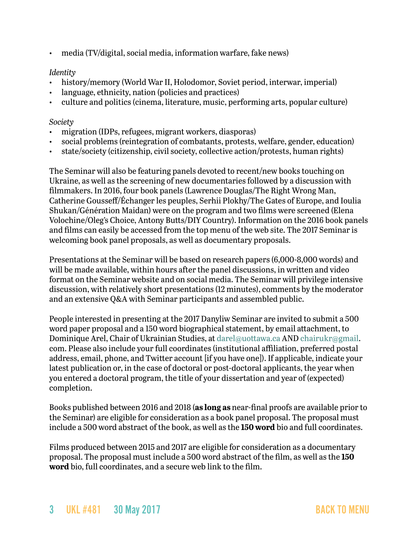• media (TV/digital, social media, information warfare, fake news)

### *Identity*

- history/memory (World War II, Holodomor, Soviet period, interwar, imperial)
- language, ethnicity, nation (policies and practices)
- culture and politics (cinema, literature, music, performing arts, popular culture)

### *Society*

- migration (IDPs, refugees, migrant workers, diasporas)
- social problems (reintegration of combatants, protests, welfare, gender, education)
- state/society (citizenship, civil society, collective action/protests, human rights)

The Seminar will also be featuring panels devoted to recent/new books touching on Ukraine, as well as the screening of new documentaries followed by a discussion with filmmakers. In 2016, four book panels (Lawrence Douglas/The Right Wrong Man, Catherine Gousseff/Échanger les peuples, Serhii Plokhy/The Gates of Europe, and Ioulia Shukan/Génération Maidan) were on the program and two films were screened (Elena Volochine/Oleg's Choice, Antony Butts/DIY Country). Information on the 2016 book panels and films can easily be accessed from the top menu of the web site. The 2017 Seminar is welcoming book panel proposals, as well as documentary proposals.

Presentations at the Seminar will be based on research papers (6,000-8,000 words) and will be made available, within hours after the panel discussions, in written and video format on the Seminar website and on social media. The Seminar will privilege intensive discussion, with relatively short presentations (12 minutes), comments by the moderator and an extensive Q&A with Seminar participants and assembled public.

People interested in presenting at the 2017 Danyliw Seminar are invited to submit a 500 word paper proposal and a 150 word biographical statement, by email attachment, to Dominique Arel, Chair of Ukrainian Studies, at [darel@uottawa.ca](mailto:darel%40uottawa.ca?subject=) AND [chairukr@gmail](mailto:chairukr%40gmail?subject=). com. Please also include your full coordinates (institutional affiliation, preferred postal address, email, phone, and Twitter account [if you have one]). If applicable, indicate your latest publication or, in the case of doctoral or post-doctoral applicants, the year when you entered a doctoral program, the title of your dissertation and year of (expected) completion.

Books published between 2016 and 2018 (**as long as** near-final proofs are available prior to the Seminar) are eligible for consideration as a book panel proposal. The proposal must include a 500 word abstract of the book, as well as the **150 word** bio and full coordinates.

Films produced between 2015 and 2017 are eligible for consideration as a documentary proposal. The proposal must include a 500 word abstract of the film, as well as the **150 word** bio, full coordinates, and a secure web link to the film.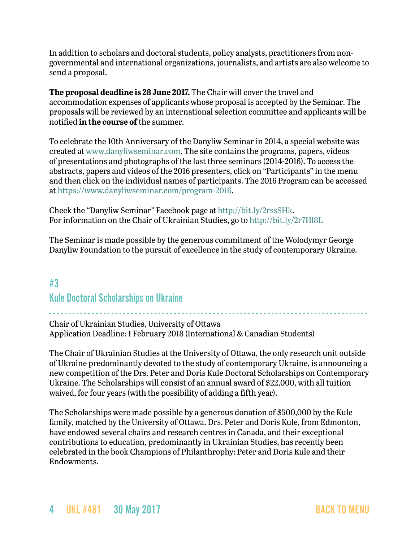In addition to scholars and doctoral students, policy analysts, practitioners from nongovernmental and international organizations, journalists, and artists are also welcome to send a proposal.

**The proposal deadline is 28 June 2017.** The Chair will cover the travel and accommodation expenses of applicants whose proposal is accepted by the Seminar. The proposals will be reviewed by an international selection committee and applicants will be notified **in the course of** the summer.

To celebrate the 10th Anniversary of the Danyliw Seminar in 2014, a special website was created at [www.danyliwseminar.com.](http://www.danyliwseminar.com) The site contains the programs, papers, videos of presentations and photographs of the last three seminars (2014-2016). To access the abstracts, papers and videos of the 2016 presenters, click on "Participants" in the menu and then click on the individual names of participants. The 2016 Program can be accessed at<https://www.danyliwseminar.com/program-2016>.

Check the "Danyliw Seminar" Facebook page at<http://bit.ly/2rssSHk>. For information on the Chair of Ukrainian Studies, go to <http://bit.ly/2r7Hl8L>

The Seminar is made possible by the generous commitment of the Wolodymyr George Danyliw Foundation to the pursuit of excellence in the study of contemporary Ukraine.

# <span id="page-3-0"></span>#3 Kule Doctoral Scholarships on Ukraine

- - - - - - - - - - - - - - - - - - - - - - - - - - - - - - - - - - - - - - - - - - - - - - - - - - - - - - - - - - - - - - - - - - - - - - - - - - - - - - - - - - Chair of Ukrainian Studies, University of Ottawa Application Deadline: 1 February 2018 (International & Canadian Students)

The Chair of Ukrainian Studies at the University of Ottawa, the only research unit outside of Ukraine predominantly devoted to the study of contemporary Ukraine, is announcing a new competition of the Drs. Peter and Doris Kule Doctoral Scholarships on Contemporary Ukraine. The Scholarships will consist of an annual award of \$22,000, with all tuition waived, for four years (with the possibility of adding a fifth year).

The Scholarships were made possible by a generous donation of \$500,000 by the Kule family, matched by the University of Ottawa. Drs. Peter and Doris Kule, from Edmonton, have endowed several chairs and research centres in Canada, and their exceptional contributions to education, predominantly in Ukrainian Studies, has recently been celebrated in the book Champions of Philanthrophy: Peter and Doris Kule and their Endowments.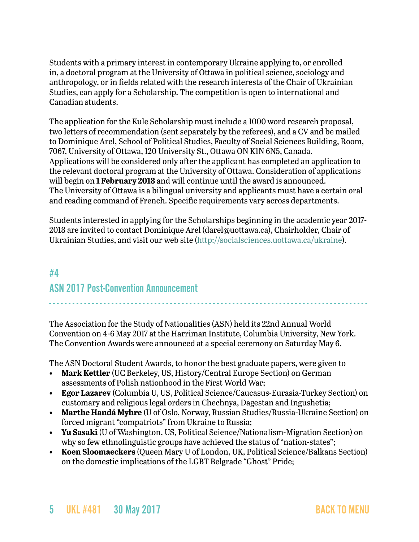Students with a primary interest in contemporary Ukraine applying to, or enrolled in, a doctoral program at the University of Ottawa in political science, sociology and anthropology, or in fields related with the research interests of the Chair of Ukrainian Studies, can apply for a Scholarship. The competition is open to international and Canadian students.

The application for the Kule Scholarship must include a 1000 word research proposal, two letters of recommendation (sent separately by the referees), and a CV and be mailed to Dominique Arel, School of Political Studies, Faculty of Social Sciences Building, Room, 7067, University of Ottawa, 120 University St., Ottawa ON K1N 6N5, Canada. Applications will be considered only after the applicant has completed an application to the relevant doctoral program at the University of Ottawa. Consideration of applications will begin on **1 February 2018** and will continue until the award is announced. The University of Ottawa is a bilingual university and applicants must have a certain oral and reading command of French. Specific requirements vary across departments.

Students interested in applying for the Scholarships beginning in the academic year 2017- 2018 are invited to contact Dominique Arel (darel@uottawa.ca), Chairholder, Chair of Ukrainian Studies, and visit our web site [\(http://socialsciences.uottawa.ca/ukraine](http://socialsciences.uottawa.ca/ukraine)).

# <span id="page-4-0"></span>#4 ASN 2017 Post-Convention Announcement

- - - - - - - - - - - - - - - - - - - - - - - - - - - - - - - - - - - - - - - - - - - - - - - - - - - - - - - - - - - - - - - - - - - - - - - - - - - - - - - - - -

The Association for the Study of Nationalities (ASN) held its 22nd Annual World Convention on 4-6 May 2017 at the Harriman Institute, Columbia University, New York. The Convention Awards were announced at a special ceremony on Saturday May 6.

The ASN Doctoral Student Awards, to honor the best graduate papers, were given to

- **• Mark Kettler** (UC Berkeley, US, History/Central Europe Section) on German assessments of Polish nationhood in the First World War;
- **• Egor Lazarev** (Columbia U, US, Political Science/Caucasus-Eurasia-Turkey Section) on customary and religious legal orders in Chechnya, Dagestan and Ingushetia;
- **• Marthe Handå Myhre** (U of Oslo, Norway, Russian Studies/Russia-Ukraine Section) on forced migrant "compatriots" from Ukraine to Russia;
- **• Yu Sasaki** (U of Washington, US, Political Science/Nationalism-Migration Section) on why so few ethnolinguistic groups have achieved the status of "nation-states";
- **• Koen Sloomaeckers** (Queen Mary U of London, UK, Political Science/Balkans Section) on the domestic implications of the LGBT Belgrade "Ghost" Pride;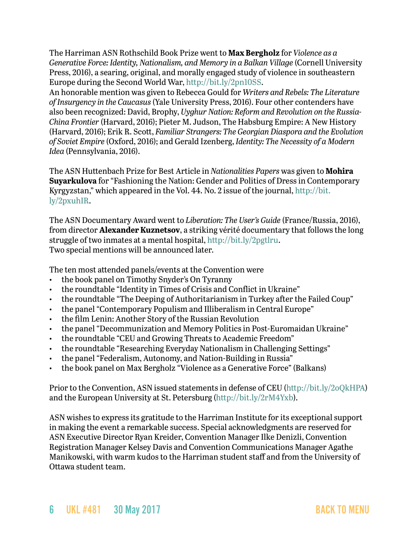The Harriman ASN Rothschild Book Prize went to **Max Bergholz** for *Violence as a Generative Force: Identity, Nationalism, and Memory in a Balkan Village* (Cornell University Press, 2016), a searing, original, and morally engaged study of violence in southeastern Europe during the Second World War, [http://bit.ly/2pn10SS.](http://bit.ly/2pn10SS)

An honorable mention was given to Rebecca Gould for *Writers and Rebels: The Literature of Insurgency in the Caucasus* (Yale University Press, 2016). Four other contenders have also been recognized: David, Brophy, *Uyghur Nation: Reform and Revolution on the Russia-China Frontier* (Harvard, 2016); Pieter M. Judson, The Habsburg Empire: A New History (Harvard, 2016); Erik R. Scott, *Familiar Strangers: The Georgian Diaspora and the Evolution of Soviet Empire* (Oxford, 2016); and Gerald Izenberg, *Identity: The Necessity of a Modern Idea* (Pennsylvania, 2016).

The ASN Huttenbach Prize for Best Article in *Nationalities Papers* was given to **Mohira Suyarkulova** for "Fashioning the Nation: Gender and Politics of Dress in Contemporary Kyrgyzstan," which appeared in the Vol. 44. No. 2 issue of the journal, [http://bit.](http://bit.ly/2pxuhIR) [ly/2pxuhIR.](http://bit.ly/2pxuhIR)

The ASN Documentary Award went to *Liberation: The User's Guide* (France/Russia, 2016), from director **Alexander Kuznetsov**, a striking vérité documentary that follows the long struggle of two inmates at a mental hospital, [http://bit.ly/2pgtlru.](http://bit.ly/2pgtlru) Two special mentions will be announced later.

The ten most attended panels/events at the Convention were

- the book panel on Timothy Snyder's On Tyranny
- the roundtable "Identity in Times of Crisis and Conflict in Ukraine"
- the roundtable "The Deeping of Authoritarianism in Turkey after the Failed Coup"
- the panel "Contemporary Populism and Illiberalism in Central Europe"
- the film Lenin: Another Story of the Russian Revolution
- the panel "Decommunization and Memory Politics in Post-Euromaidan Ukraine"
- the roundtable "CEU and Growing Threats to Academic Freedom"
- the roundtable "Researching Everyday Nationalism in Challenging Settings"
- the panel "Federalism, Autonomy, and Nation-Building in Russia"
- the book panel on Max Bergholz "Violence as a Generative Force" (Balkans)

Prior to the Convention, ASN issued statements in defense of CEU ([http://bit.ly/2oQkHPA\)](http://bit.ly/2oQkHPA) and the European University at St. Petersburg ([http://bit.ly/2rM4Yxb\)](http://bit.ly/2rM4Yxb).

ASN wishes to express its gratitude to the Harriman Institute for its exceptional support in making the event a remarkable success. Special acknowledgments are reserved for ASN Executive Director Ryan Kreider, Convention Manager Ilke Denizli, Convention Registration Manager Kelsey Davis and Convention Communications Manager Agathe Manikowski, with warm kudos to the Harriman student staff and from the University of Ottawa student team.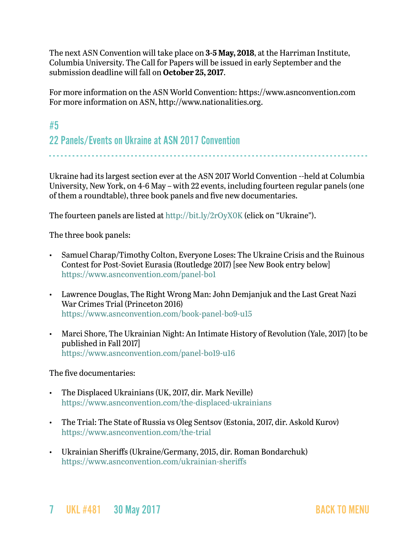The next ASN Convention will take place on **3-5 May, 2018**, at the Harriman Institute, Columbia University. The Call for Papers will be issued in early September and the submission deadline will fall on **October 25, 2017**.

For more information on the ASN World Convention: https://www.asnconvention.com For more information on ASN, http://www.nationalities.org.

## <span id="page-6-0"></span>#5

22 Panels/Events on Ukraine at ASN 2017 Convention

- - - - - - - - - - - - - - - - - - - - - - - - - - - - - - - - - - - - - - - - - - - - - - - - - - - - - - - - - - - - - - - - - - - - - - - - - - - - - - - - - -

Ukraine had its largest section ever at the ASN 2017 World Convention --held at Columbia University, New York, on 4-6 May – with 22 events, including fourteen regular panels (one of them a roundtable), three book panels and five new documentaries.

The fourteen panels are listed at <http://bit.ly/2rOyX0K>(click on "Ukraine").

The three book panels:

- Samuel Charap/Timothy Colton, Everyone Loses: The Ukraine Crisis and the Ruinous Contest for Post-Soviet Eurasia (Routledge 2017) [see New Book entry below] [https://www.asnconvention.com/panel-bo1](https://www.asnconvention.com/panel-bo13)
- Lawrence Douglas, The Right Wrong Man: John Demjanjuk and the Last Great Nazi War Crimes Trial (Princeton 2016) <https://www.asnconvention.com/book-panel-bo9-u15>
- Marci Shore, The Ukrainian Night: An Intimate History of Revolution (Yale, 2017) [to be published in Fall 2017] <https://www.asnconvention.com/panel-bo19-u16>

The five documentaries:

- The Displaced Ukrainians (UK, 2017, dir. Mark Neville) <https://www.asnconvention.com/the-displaced-ukrainians>
- The Trial: The State of Russia vs Oleg Sentsov (Estonia, 2017, dir. Askold Kurov) <https://www.asnconvention.com/the-trial>
- Ukrainian Sheriffs (Ukraine/Germany, 2015, dir. Roman Bondarchuk) <https://www.asnconvention.com/ukrainian-sheriffs>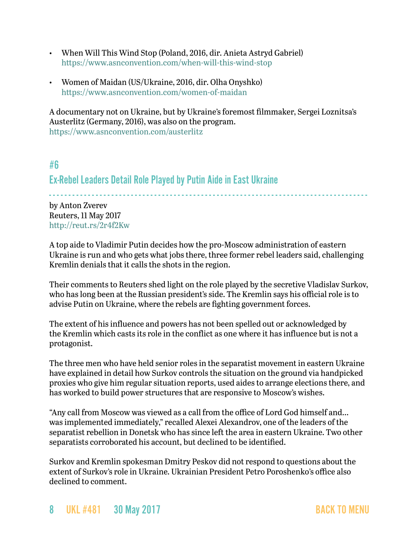- When Will This Wind Stop (Poland, 2016, dir. Anieta Astryd Gabriel) <https://www.asnconvention.com/when-will-this-wind-stop>
- Women of Maidan (US/Ukraine, 2016, dir. Olha Onyshko) <https://www.asnconvention.com/women-of-maidan>

A documentary not on Ukraine, but by Ukraine's foremost filmmaker, Sergei Loznitsa's Austerlitz (Germany, 2016), was also on the program. <https://www.asnconvention.com/austerlitz>

### <span id="page-7-0"></span>#6

### Ex-Rebel Leaders Detail Role Played by Putin Aide in East Ukraine

- - - - - - - - - - - - - - - - - - - - - - - - - - - - - - - - - - - - - - - - - - - - - - - - - - - - - - - - - - - - - - - - - - - - - - - - - - - - - - - - - by Anton Zverev Reuters, 11 May 2017 <http://reut.rs/2r4f2Kw>

A top aide to Vladimir Putin decides how the pro-Moscow administration of eastern Ukraine is run and who gets what jobs there, three former rebel leaders said, challenging Kremlin denials that it calls the shots in the region.

Their comments to Reuters shed light on the role played by the secretive Vladislav Surkov, who has long been at the Russian president's side. The Kremlin says his official role is to advise Putin on Ukraine, where the rebels are fighting government forces.

The extent of his influence and powers has not been spelled out or acknowledged by the Kremlin which casts its role in the conflict as one where it has influence but is not a protagonist.

The three men who have held senior roles in the separatist movement in eastern Ukraine have explained in detail how Surkov controls the situation on the ground via handpicked proxies who give him regular situation reports, used aides to arrange elections there, and has worked to build power structures that are responsive to Moscow's wishes.

"Any call from Moscow was viewed as a call from the office of Lord God himself and... was implemented immediately," recalled Alexei Alexandrov, one of the leaders of the separatist rebellion in Donetsk who has since left the area in eastern Ukraine. Two other separatists corroborated his account, but declined to be identified.

Surkov and Kremlin spokesman Dmitry Peskov did not respond to questions about the extent of Surkov's role in Ukraine. Ukrainian President Petro Poroshenko's office also declined to comment.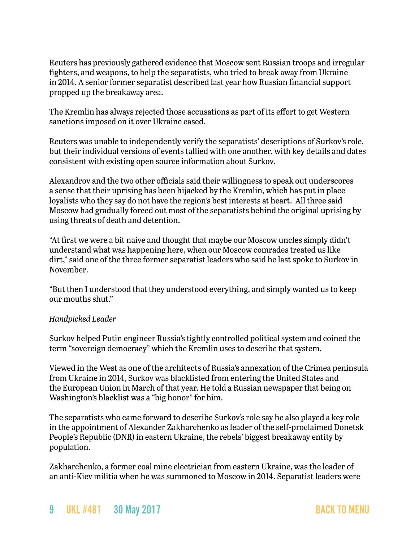Reuters has previously gathered evidence that Moscow sent Russian troops and irregular fighters, and weapons, to help the separatists, who tried to break away from Ukraine in 2014. A senior former separatist described last year how Russian financial support propped up the breakaway area.

The Kremlin has always rejected those accusations as part of its effort to get Western sanctions imposed on it over Ukraine eased.

Reuters was unable to independently verify the separatists' descriptions of Surkov's role, but their individual versions of events tallied with one another, with key details and dates consistent with existing open source information about Surkov.

Alexandrov and the two other officials said their willingness to speak out underscores a sense that their uprising has been hijacked by the Kremlin, which has put in place loyalists who they say do not have the region's best interests at heart. All three said Moscow had gradually forced out most of the separatists behind the original uprising by using threats of death and detention.

"At first we were a bit naive and thought that maybe our Moscow uncles simply didn't understand what was happening here, when our Moscow comrades treated us like dirt," said one of the three former separatist leaders who said he last spoke to Surkov in November.

"But then I understood that they understood everything, and simply wanted us to keep our mouths shut."

### *Handpicked Leader*

Surkov helped Putin engineer Russia's tightly controlled political system and coined the term "sovereign democracy" which the Kremlin uses to describe that system.

Viewed in the West as one of the architects of Russia's annexation of the Crimea peninsula from Ukraine in 2014, Surkov was blacklisted from entering the United States and the European Union in March of that year. He told a Russian newspaper that being on Washington's blacklist was a "big honor" for him.

The separatists who came forward to describe Surkov's role say he also played a key role in the appointment of Alexander Zakharchenko as leader of the self-proclaimed Donetsk People's Republic (DNR) in eastern Ukraine, the rebels' biggest breakaway entity by population.

Zakharchenko, a former coal mine electrician from eastern Ukraine, was the leader of an anti-Kiev militia when he was summoned to Moscow in 2014. Separatist leaders were

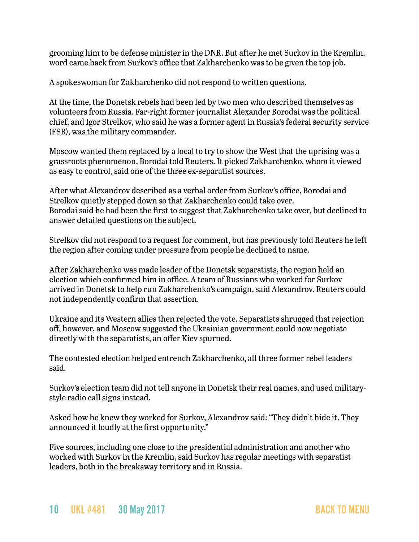grooming him to be defense minister in the DNR. But after he met Surkov in the Kremlin, word came back from Surkov's office that Zakharchenko was to be given the top job.

A spokeswoman for Zakharchenko did not respond to written questions.

At the time, the Donetsk rebels had been led by two men who described themselves as volunteers from Russia. Far-right former journalist Alexander Borodai was the political chief, and Igor Strelkov, who said he was a former agent in Russia's federal security service (FSB), was the military commander.

Moscow wanted them replaced by a local to try to show the West that the uprising was a grassroots phenomenon, Borodai told Reuters. It picked Zakharchenko, whom it viewed as easy to control, said one of the three ex-separatist sources.

After what Alexandrov described as a verbal order from Surkov's office, Borodai and Strelkov quietly stepped down so that Zakharchenko could take over. Borodai said he had been the first to suggest that Zakharchenko take over, but declined to answer detailed questions on the subject.

Strelkov did not respond to a request for comment, but has previously told Reuters he left the region after coming under pressure from people he declined to name.

After Zakharchenko was made leader of the Donetsk separatists, the region held an election which confirmed him in office. A team of Russians who worked for Surkov arrived in Donetsk to help run Zakharchenko's campaign, said Alexandrov. Reuters could not independently confirm that assertion.

Ukraine and its Western allies then rejected the vote. Separatists shrugged that rejection off, however, and Moscow suggested the Ukrainian government could now negotiate directly with the separatists, an offer Kiev spurned.

The contested election helped entrench Zakharchenko, all three former rebel leaders said.

Surkov's election team did not tell anyone in Donetsk their real names, and used militarystyle radio call signs instead.

Asked how he knew they worked for Surkov, Alexandrov said: "They didn't hide it. They announced it loudly at the first opportunity."

Five sources, including one close to the presidential administration and another who worked with Surkov in the Kremlin, said Surkov has regular meetings with separatist leaders, both in the breakaway territory and in Russia.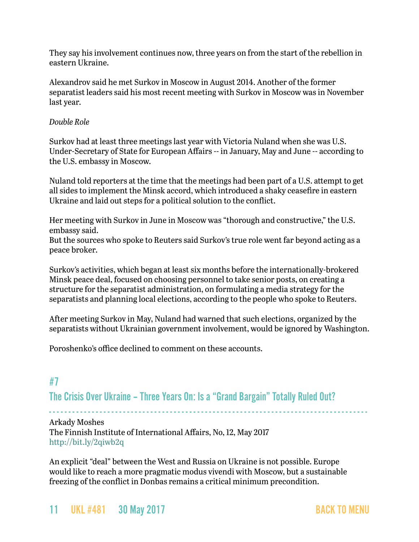They say his involvement continues now, three years on from the start of the rebellion in eastern Ukraine.

Alexandrov said he met Surkov in Moscow in August 2014. Another of the former separatist leaders said his most recent meeting with Surkov in Moscow was in November last year.

### *Double Role*

Surkov had at least three meetings last year with Victoria Nuland when she was U.S. Under-Secretary of State for European Affairs -- in January, May and June -- according to the U.S. embassy in Moscow.

Nuland told reporters at the time that the meetings had been part of a U.S. attempt to get all sides to implement the Minsk accord, which introduced a shaky ceasefire in eastern Ukraine and laid out steps for a political solution to the conflict.

Her meeting with Surkov in June in Moscow was "thorough and constructive," the U.S. embassy said.

But the sources who spoke to Reuters said Surkov's true role went far beyond acting as a peace broker.

Surkov's activities, which began at least six months before the internationally-brokered Minsk peace deal, focused on choosing personnel to take senior posts, on creating a structure for the separatist administration, on formulating a media strategy for the separatists and planning local elections, according to the people who spoke to Reuters.

After meeting Surkov in May, Nuland had warned that such elections, organized by the separatists without Ukrainian government involvement, would be ignored by Washington.

Poroshenko's office declined to comment on these accounts.

## #7

The Crisis Over Ukraine – Three Years On: Is a "Grand Bargain" Totally Ruled Out?

- - - - - - - - - - - - - - - - - - - - - - - - - - - - - - - - - - - - - - - - - - - - - - - - - - - - - - - - - - - - - - - - - - - - - - - - - - - - - - - - - - Arkady Moshes The Finnish Institute of International Affairs, No, 12, May 2017 <http://bit.ly/2qiwb2q>

An explicit "deal" between the West and Russia on Ukraine is not possible. Europe would like to reach a more pragmatic modus vivendi with Moscow, but a sustainable freezing of the conflict in Donbas remains a critical minimum precondition.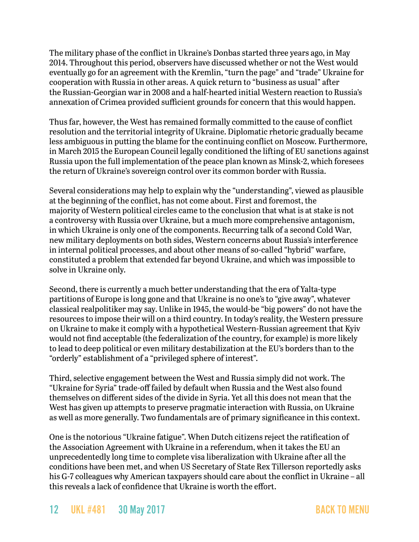The military phase of the conflict in Ukraine's Donbas started three years ago, in May 2014. Throughout this period, observers have discussed whether or not the West would eventually go for an agreement with the Kremlin, "turn the page" and "trade" Ukraine for cooperation with Russia in other areas. A quick return to "business as usual" after the Russian-Georgian war in 2008 and a half-hearted initial Western reaction to Russia's annexation of Crimea provided sufficient grounds for concern that this would happen.

Thus far, however, the West has remained formally committed to the cause of conflict resolution and the territorial integrity of Ukraine. Diplomatic rhetoric gradually became less ambiguous in putting the blame for the continuing conflict on Moscow. Furthermore, in March 2015 the European Council legally conditioned the lifting of EU sanctions against Russia upon the full implementation of the peace plan known as Minsk-2, which foresees the return of Ukraine's sovereign control over its common border with Russia.

Several considerations may help to explain why the "understanding", viewed as plausible at the beginning of the conflict, has not come about. First and foremost, the majority of Western political circles came to the conclusion that what is at stake is not a controversy with Russia over Ukraine, but a much more comprehensive antagonism, in which Ukraine is only one of the components. Recurring talk of a second Cold War, new military deployments on both sides, Western concerns about Russia's interference in internal political processes, and about other means of so-called "hybrid" warfare, constituted a problem that extended far beyond Ukraine, and which was impossible to solve in Ukraine only.

Second, there is currently a much better understanding that the era of Yalta-type partitions of Europe is long gone and that Ukraine is no one's to "give away", whatever classical realpolitiker may say. Unlike in 1945, the would-be "big powers" do not have the resources to impose their will on a third country. In today's reality, the Western pressure on Ukraine to make it comply with a hypothetical Western-Russian agreement that Kyiv would not find acceptable (the federalization of the country, for example) is more likely to lead to deep political or even military destabilization at the EU's borders than to the "orderly" establishment of a "privileged sphere of interest".

Third, selective engagement between the West and Russia simply did not work. The "Ukraine for Syria" trade-off failed by default when Russia and the West also found themselves on different sides of the divide in Syria. Yet all this does not mean that the West has given up attempts to preserve pragmatic interaction with Russia, on Ukraine as well as more generally. Two fundamentals are of primary significance in this context.

One is the notorious "Ukraine fatigue". When Dutch citizens reject the ratification of the Association Agreement with Ukraine in a referendum, when it takes the EU an unprecedentedly long time to complete visa liberalization with Ukraine after all the conditions have been met, and when US Secretary of State Rex Tillerson reportedly asks his G-7 colleagues why American taxpayers should care about the conflict in Ukraine – all this reveals a lack of confidence that Ukraine is worth the effort.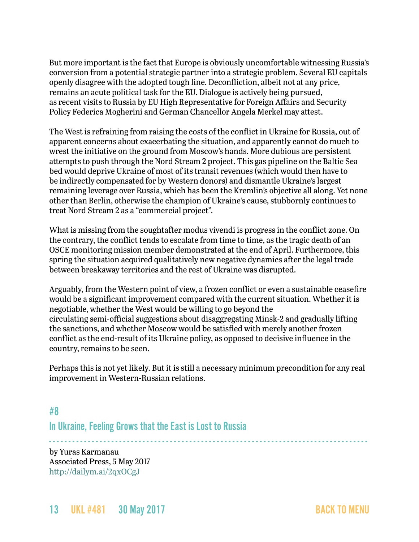But more important is the fact that Europe is obviously uncomfortable witnessing Russia's conversion from a potential strategic partner into a strategic problem. Several EU capitals openly disagree with the adopted tough line. Deconfliction, albeit not at any price, remains an acute political task for the EU. Dialogue is actively being pursued, as recent visits to Russia by EU High Representative for Foreign Affairs and Security Policy Federica Mogherini and German Chancellor Angela Merkel may attest.

The West is refraining from raising the costs of the conflict in Ukraine for Russia, out of apparent concerns about exacerbating the situation, and apparently cannot do much to wrest the initiative on the ground from Moscow's hands. More dubious are persistent attempts to push through the Nord Stream 2 project. This gas pipeline on the Baltic Sea bed would deprive Ukraine of most of its transit revenues (which would then have to be indirectly compensated for by Western donors) and dismantle Ukraine's largest remaining leverage over Russia, which has been the Kremlin's objective all along. Yet none other than Berlin, otherwise the champion of Ukraine's cause, stubbornly continues to treat Nord Stream 2 as a "commercial project".

What is missing from the soughtafter modus vivendi is progress in the conflict zone. On the contrary, the conflict tends to escalate from time to time, as the tragic death of an OSCE monitoring mission member demonstrated at the end of April. Furthermore, this spring the situation acquired qualitatively new negative dynamics after the legal trade between breakaway territories and the rest of Ukraine was disrupted.

Arguably, from the Western point of view, a frozen conflict or even a sustainable ceasefire would be a significant improvement compared with the current situation. Whether it is negotiable, whether the West would be willing to go beyond the circulating semi-official suggestions about disaggregating Minsk-2 and gradually lifting the sanctions, and whether Moscow would be satisfied with merely another frozen conflict as the end-result of its Ukraine policy, as opposed to decisive influence in the country, remains to be seen.

Perhaps this is not yet likely. But it is still a necessary minimum precondition for any real improvement in Western-Russian relations.

<span id="page-12-0"></span>#8 In Ukraine, Feeling Grows that the East is Lost to Russia

- - - - - - - - - - - - - - - - - - - - - - - - - - - - - - - - - - - - - - - - - - - - - - - - - - - - - - - - - - - - - - - - - - - - - - - - - - - - - - - - - by Yuras Karmanau Associated Press, 5 May 2017 <http://dailym.ai/2qxOCgJ>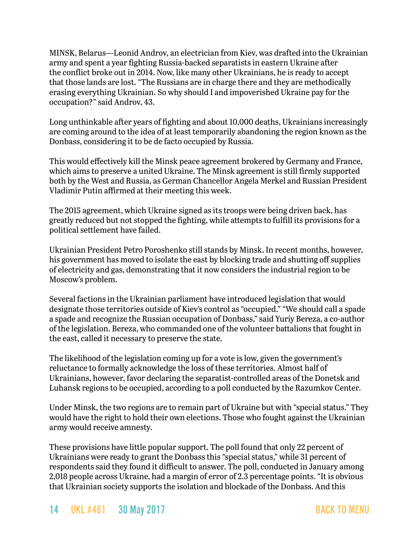MINSK, Belarus—Leonid Androv, an electrician from Kiev, was drafted into the Ukrainian army and spent a year fighting Russia-backed separatists in eastern Ukraine after the conflict broke out in 2014. Now, like many other Ukrainians, he is ready to accept that those lands are lost. "The Russians are in charge there and they are methodically erasing everything Ukrainian. So why should I and impoverished Ukraine pay for the occupation?" said Androv, 43.

Long unthinkable after years of fighting and about 10,000 deaths, Ukrainians increasingly are coming around to the idea of at least temporarily abandoning the region known as the Donbass, considering it to be de facto occupied by Russia.

This would effectively kill the Minsk peace agreement brokered by Germany and France, which aims to preserve a united Ukraine. The Minsk agreement is still firmly supported both by the West and Russia, as German Chancellor Angela Merkel and Russian President Vladimir Putin affirmed at their meeting this week.

The 2015 agreement, which Ukraine signed as its troops were being driven back, has greatly reduced but not stopped the fighting, while attempts to fulfill its provisions for a political settlement have failed.

Ukrainian President Petro Poroshenko still stands by Minsk. In recent months, however, his government has moved to isolate the east by blocking trade and shutting off supplies of electricity and gas, demonstrating that it now considers the industrial region to be Moscow's problem.

Several factions in the Ukrainian parliament have introduced legislation that would designate those territories outside of Kiev's control as "occupied." "We should call a spade a spade and recognize the Russian occupation of Donbass," said Yuriy Bereza, a co-author of the legislation. Bereza, who commanded one of the volunteer battalions that fought in the east, called it necessary to preserve the state.

The likelihood of the legislation coming up for a vote is low, given the government's reluctance to formally acknowledge the loss of these territories. Almost half of Ukrainians, however, favor declaring the separatist-controlled areas of the Donetsk and Luhansk regions to be occupied, according to a poll conducted by the Razumkov Center.

Under Minsk, the two regions are to remain part of Ukraine but with "special status." They would have the right to hold their own elections. Those who fought against the Ukrainian army would receive amnesty.

These provisions have little popular support. The poll found that only 22 percent of Ukrainians were ready to grant the Donbass this "special status," while 31 percent of respondents said they found it difficult to answer. The poll, conducted in January among 2,018 people across Ukraine, had a margin of error of 2.3 percentage points. "It is obvious that Ukrainian society supports the isolation and blockade of the Donbass. And this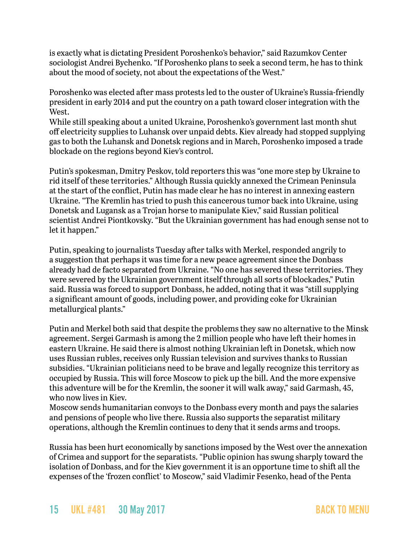is exactly what is dictating President Poroshenko's behavior," said Razumkov Center sociologist Andrei Bychenko. "If Poroshenko plans to seek a second term, he has to think about the mood of society, not about the expectations of the West."

Poroshenko was elected after mass protests led to the ouster of Ukraine's Russia-friendly president in early 2014 and put the country on a path toward closer integration with the West.

While still speaking about a united Ukraine, Poroshenko's government last month shut off electricity supplies to Luhansk over unpaid debts. Kiev already had stopped supplying gas to both the Luhansk and Donetsk regions and in March, Poroshenko imposed a trade blockade on the regions beyond Kiev's control.

Putin's spokesman, Dmitry Peskov, told reporters this was "one more step by Ukraine to rid itself of these territories." Although Russia quickly annexed the Crimean Peninsula at the start of the conflict, Putin has made clear he has no interest in annexing eastern Ukraine. "The Kremlin has tried to push this cancerous tumor back into Ukraine, using Donetsk and Lugansk as a Trojan horse to manipulate Kiev," said Russian political scientist Andrei Piontkovsky. "But the Ukrainian government has had enough sense not to let it happen."

Putin, speaking to journalists Tuesday after talks with Merkel, responded angrily to a suggestion that perhaps it was time for a new peace agreement since the Donbass already had de facto separated from Ukraine. "No one has severed these territories. They were severed by the Ukrainian government itself through all sorts of blockades," Putin said. Russia was forced to support Donbass, he added, noting that it was "still supplying a significant amount of goods, including power, and providing coke for Ukrainian metallurgical plants."

Putin and Merkel both said that despite the problems they saw no alternative to the Minsk agreement. Sergei Garmash is among the 2 million people who have left their homes in eastern Ukraine. He said there is almost nothing Ukrainian left in Donetsk, which now uses Russian rubles, receives only Russian television and survives thanks to Russian subsidies. "Ukrainian politicians need to be brave and legally recognize this territory as occupied by Russia. This will force Moscow to pick up the bill. And the more expensive this adventure will be for the Kremlin, the sooner it will walk away," said Garmash, 45, who now lives in Kiev.

Moscow sends humanitarian convoys to the Donbass every month and pays the salaries and pensions of people who live there. Russia also supports the separatist military operations, although the Kremlin continues to deny that it sends arms and troops.

Russia has been hurt economically by sanctions imposed by the West over the annexation of Crimea and support for the separatists. "Public opinion has swung sharply toward the isolation of Donbass, and for the Kiev government it is an opportune time to shift all the expenses of the 'frozen conflict' to Moscow," said Vladimir Fesenko, head of the Penta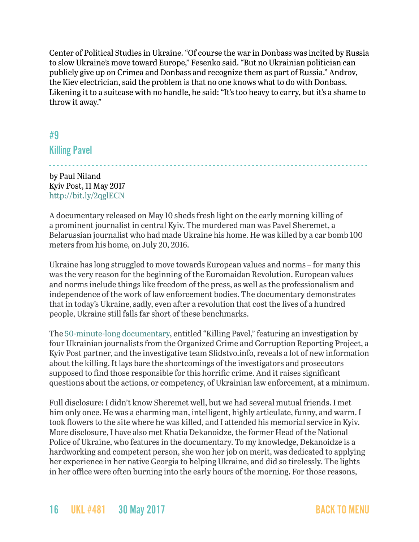Center of Political Studies in Ukraine. "Of course the war in Donbass was incited by Russia to slow Ukraine's move toward Europe," Fesenko said. "But no Ukrainian politician can publicly give up on Crimea and Donbass and recognize them as part of Russia." Androv, the Kiev electrician, said the problem is that no one knows what to do with Donbass. Likening it to a suitcase with no handle, he said: "It's too heavy to carry, but it's a shame to throw it away."

# <span id="page-15-0"></span>#9

Killing Pavel

- - - - - - - - - - - - - - - - - - - - - - - - - - - - - - - - - - - - - - - - - - - - - - - - - - - - - - - - - - - - - - - - - - - - - - - - - - - - - - - - - by Paul Niland Kyiv Post, 11 May 2017 <http://bit.ly/2qglECN>

A documentary released on May 10 sheds fresh light on the early morning killing of a prominent journalist in central Kyiv. The murdered man was Pavel Sheremet, a Belarussian journalist who had made Ukraine his home. He was killed by a car bomb 100 meters from his home, on July 20, 2016.

Ukraine has long struggled to move towards European values and norms – for many this was the very reason for the beginning of the Euromaidan Revolution. European values and norms include things like freedom of the press, as well as the professionalism and independence of the work of law enforcement bodies. The documentary demonstrates that in today's Ukraine, sadly, even after a revolution that cost the lives of a hundred people, Ukraine still falls far short of these benchmarks.

The [50-minute-long documentary](https://www.occrp.org/en/documentaries/killing-pavel/), entitled "Killing Pavel," featuring an investigation by four Ukrainian journalists from the Organized Crime and Corruption Reporting Project, a Kyiv Post partner, and the investigative team Slidstvo.info, reveals a lot of new information about the killing. It lays bare the shortcomings of the investigators and prosecutors supposed to find those responsible for this horrific crime. And it raises significant questions about the actions, or competency, of Ukrainian law enforcement, at a minimum.

Full disclosure: I didn't know Sheremet well, but we had several mutual friends. I met him only once. He was a charming man, intelligent, highly articulate, funny, and warm. I took flowers to the site where he was killed, and I attended his memorial service in Kyiv. More disclosure, I have also met Khatia Dekanoidze, the former Head of the National Police of Ukraine, who features in the documentary. To my knowledge, Dekanoidze is a hardworking and competent person, she won her job on merit, was dedicated to applying her experience in her native Georgia to helping Ukraine, and did so tirelessly. The lights in her office were often burning into the early hours of the morning. For those reasons,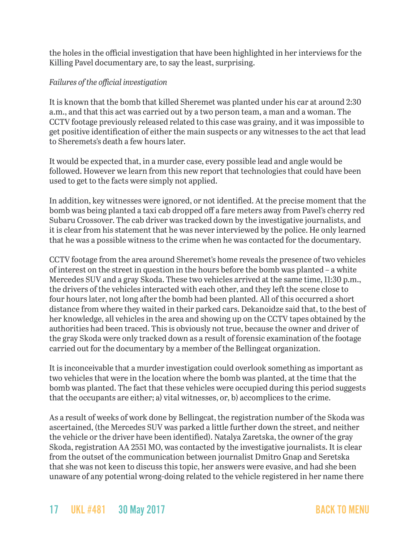the holes in the official investigation that have been highlighted in her interviews for the Killing Pavel documentary are, to say the least, surprising.

### *Failures of the official investigation*

It is known that the bomb that killed Sheremet was planted under his car at around 2:30 a.m., and that this act was carried out by a two person team, a man and a woman. The CCTV footage previously released related to this case was grainy, and it was impossible to get positive identification of either the main suspects or any witnesses to the act that lead to Sheremets's death a few hours later.

It would be expected that, in a murder case, every possible lead and angle would be followed. However we learn from this new report that technologies that could have been used to get to the facts were simply not applied.

In addition, key witnesses were ignored, or not identified. At the precise moment that the bomb was being planted a taxi cab dropped off a fare meters away from Pavel's cherry red Subaru Crossover. The cab driver was tracked down by the investigative journalists, and it is clear from his statement that he was never interviewed by the police. He only learned that he was a possible witness to the crime when he was contacted for the documentary.

CCTV footage from the area around Sheremet's home reveals the presence of two vehicles of interest on the street in question in the hours before the bomb was planted – a white Mercedes SUV and a gray Skoda. These two vehicles arrived at the same time, 11:30 p.m., the drivers of the vehicles interacted with each other, and they left the scene close to four hours later, not long after the bomb had been planted. All of this occurred a short distance from where they waited in their parked cars. Dekanoidze said that, to the best of her knowledge, all vehicles in the area and showing up on the CCTV tapes obtained by the authorities had been traced. This is obviously not true, because the owner and driver of the gray Skoda were only tracked down as a result of forensic examination of the footage carried out for the documentary by a member of the Bellingcat organization.

It is inconceivable that a murder investigation could overlook something as important as two vehicles that were in the location where the bomb was planted, at the time that the bomb was planted. The fact that these vehicles were occupied during this period suggests that the occupants are either; a) vital witnesses, or, b) accomplices to the crime.

As a result of weeks of work done by Bellingcat, the registration number of the Skoda was ascertained, (the Mercedes SUV was parked a little further down the street, and neither the vehicle or the driver have been identified). Natalya Zaretska, the owner of the gray Skoda, registration AA 2551 MO, was contacted by the investigative journalists. It is clear from the outset of the communication between journalist Dmitro Gnap and Seretska that she was not keen to discuss this topic, her answers were evasive, and had she been unaware of any potential wrong-doing related to the vehicle registered in her name there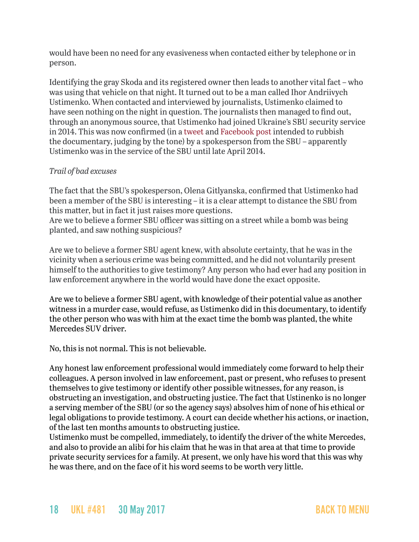would have been no need for any evasiveness when contacted either by telephone or in person.

Identifying the gray Skoda and its registered owner then leads to another vital fact – who was using that vehicle on that night. It turned out to be a man called Ihor Andriivych Ustimenko. When contacted and interviewed by journalists, Ustimenko claimed to have seen nothing on the night in question. The journalists then managed to find out, through an anonymous source, that Ustimenko had joined Ukraine's SBU security service in 2014. This was now confirmed (in a [tweet](https://twitter.com/gitlyk/status/862400887393792002) and [Facebook post](https://www.facebook.com/giolena11/posts/1318374524877689) intended to rubbish the documentary, judging by the tone) by a spokesperson from the SBU – apparently Ustimenko was in the service of the SBU until late April 2014.

### *Trail of bad excuses*

The fact that the SBU's spokesperson, Olena Gitlyanska, confirmed that Ustimenko had been a member of the SBU is interesting – it is a clear attempt to distance the SBU from this matter, but in fact it just raises more questions.

Are we to believe a former SBU officer was sitting on a street while a bomb was being planted, and saw nothing suspicious?

Are we to believe a former SBU agent knew, with absolute certainty, that he was in the vicinity when a serious crime was being committed, and he did not voluntarily present himself to the authorities to give testimony? Any person who had ever had any position in law enforcement anywhere in the world would have done the exact opposite.

Are we to believe a former SBU agent, with knowledge of their potential value as another witness in a murder case, would refuse, as Ustimenko did in this documentary, to identify the other person who was with him at the exact time the bomb was planted, the white Mercedes SUV driver.

No, this is not normal. This is not believable.

Any honest law enforcement professional would immediately come forward to help their colleagues. A person involved in law enforcement, past or present, who refuses to present themselves to give testimony or identify other possible witnesses, for any reason, is obstructing an investigation, and obstructing justice. The fact that Ustinenko is no longer a serving member of the SBU (or so the agency says) absolves him of none of his ethical or legal obligations to provide testimony. A court can decide whether his actions, or inaction, of the last ten months amounts to obstructing justice.

Ustimenko must be compelled, immediately, to identify the driver of the white Mercedes, and also to provide an alibi for his claim that he was in that area at that time to provide private security services for a family. At present, we only have his word that this was why he was there, and on the face of it his word seems to be worth very little.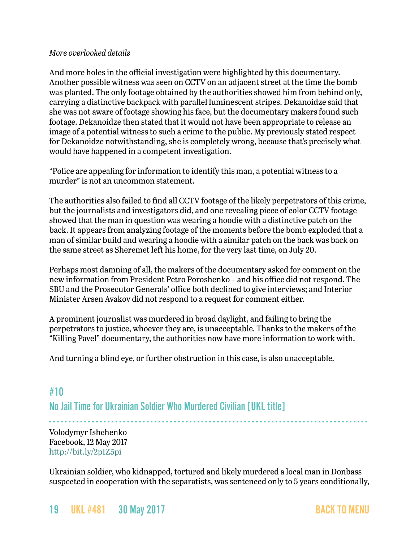#### *More overlooked details*

And more holes in the official investigation were highlighted by this documentary. Another possible witness was seen on CCTV on an adjacent street at the time the bomb was planted. The only footage obtained by the authorities showed him from behind only, carrying a distinctive backpack with parallel luminescent stripes. Dekanoidze said that she was not aware of footage showing his face, but the documentary makers found such footage. Dekanoidze then stated that it would not have been appropriate to release an image of a potential witness to such a crime to the public. My previously stated respect for Dekanoidze notwithstanding, she is completely wrong, because that's precisely what would have happened in a competent investigation.

"Police are appealing for information to identify this man, a potential witness to a murder" is not an uncommon statement.

The authorities also failed to find all CCTV footage of the likely perpetrators of this crime, but the journalists and investigators did, and one revealing piece of color CCTV footage showed that the man in question was wearing a hoodie with a distinctive patch on the back. It appears from analyzing footage of the moments before the bomb exploded that a man of similar build and wearing a hoodie with a similar patch on the back was back on the same street as Sheremet left his home, for the very last time, on July 20.

Perhaps most damning of all, the makers of the documentary asked for comment on the new information from President Petro Poroshenko – and his office did not respond. The SBU and the Prosecutor Generals' office both declined to give interviews; and Interior Minister Arsen Avakov did not respond to a request for comment either.

A prominent journalist was murdered in broad daylight, and failing to bring the perpetrators to justice, whoever they are, is unacceptable. Thanks to the makers of the "Killing Pavel" documentary, the authorities now have more information to work with.

And turning a blind eye, or further obstruction in this case, is also unacceptable.

<span id="page-18-0"></span>#10 No Jail Time for Ukrainian Soldier Who Murdered Civilian [UKL title]

- - - - - - - - - - - - - - - - - - - - - - - - - - - - - - - - - - - - - - - - - - - - - - - - - - - - - - - - - - - - - - - - - - - - - - - - - - - - - - - - - - Volodymyr Ishchenko Facebook, 12 May 2017 <http://bit.ly/2pIZ5pi>

Ukrainian soldier, who kidnapped, tortured and likely murdered a local man in Donbass suspected in cooperation with the separatists, was sentenced only to 5 years conditionally,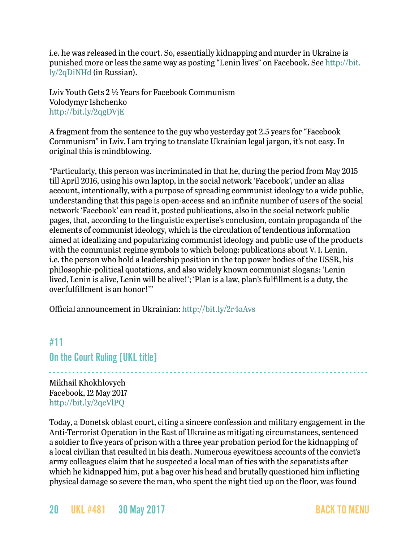i.e. he was released in the court. So, essentially kidnapping and murder in Ukraine is punished more or less the same way as posting "Lenin lives" on Facebook. See [http://bit.](http://bit.ly/2qDiNHd) [ly/2qDiNHd](http://bit.ly/2qDiNHd) (in Russian).

Lviv Youth Gets 2 ½ Years for Facebook Communism Volodymyr Ishchenko <http://bit.ly/2qgDVjE>

A fragment from the sentence to the guy who yesterday got 2.5 years for "Facebook Communism" in Lviv. I am trying to translate Ukrainian legal jargon, it's not easy. In original this is mindblowing.

"Particularly, this person was incriminated in that he, during the period from May 2015 till April 2016, using his own laptop, in the social network 'Facebook', under an alias account, intentionally, with a purpose of spreading communist ideology to a wide public, understanding that this page is open-access and an infinite number of users of the social network 'Facebook' can read it, posted publications, also in the social network public pages, that, according to the linguistic expertise's conclusion, contain propaganda of the elements of communist ideology, which is the circulation of tendentious information aimed at idealizing and popularizing communist ideology and public use of the products with the communist regime symbols to which belong: publications about V. I. Lenin, i.e. the person who hold a leadership position in the top power bodies of the USSR, his philosophic-political quotations, and also widely known communist slogans: 'Lenin lived, Lenin is alive, Lenin will be alive!'; 'Plan is a law, plan's fulfillment is a duty, the overfulfillment is an honor!'"

Official announcement in Ukrainian:<http://bit.ly/2r4aAvs>

## <span id="page-19-0"></span>#11 On the Court Ruling [UKL title]

- - - - - - - - - - - - - - - - - - - - - - - - - - - - - - - - - - - - - - - - - - - - - - - - - - - - - - - - - - - - - - - - - - - - - - - - - - - - - - - - - - Mikhail Khokhlovych Facebook, 12 May 2017 <http://bit.ly/2qcVlPQ>

Today, a Donetsk oblast court, citing a sincere confession and military engagement in the Anti-Terrorist Operation in the East of Ukraine as mitigating circumstances, sentenced a soldier to five years of prison with a three year probation period for the kidnapping of a local civilian that resulted in his death. Numerous eyewitness accounts of the convict's army colleagues claim that he suspected a local man of ties with the separatists after which he kidnapped him, put a bag over his head and brutally questioned him inflicting physical damage so severe the man, who spent the night tied up on the floor, was found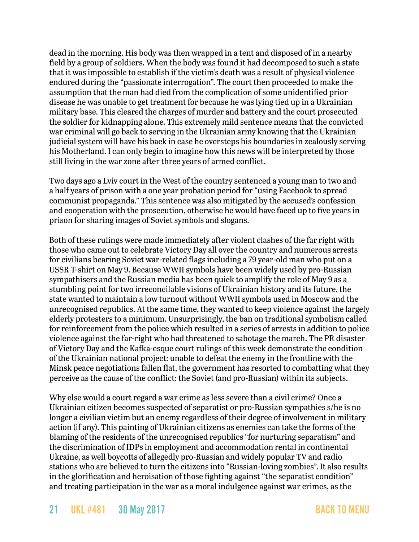dead in the morning. His body was then wrapped in a tent and disposed of in a nearby field by a group of soldiers. When the body was found it had decomposed to such a state that it was impossible to establish if the victim's death was a result of physical violence endured during the "passionate interrogation". The court then proceeded to make the assumption that the man had died from the complication of some unidentified prior disease he was unable to get treatment for because he was lying tied up in a Ukrainian military base. This cleared the charges of murder and battery and the court prosecuted the soldier for kidnapping alone. This extremely mild sentence means that the convicted war criminal will go back to serving in the Ukrainian army knowing that the Ukrainian judicial system will have his back in case he oversteps his boundaries in zealously serving his Motherland. I can only begin to imagine how this news will be interpreted by those still living in the war zone after three years of armed conflict.

Two days ago a Lviv court in the West of the country sentenced a young man to two and a half years of prison with a one year probation period for "using Facebook to spread communist propaganda." This sentence was also mitigated by the accused's confession and cooperation with the prosecution, otherwise he would have faced up to five years in prison for sharing images of Soviet symbols and slogans.

Both of these rulings were made immediately after violent clashes of the far right with those who came out to celebrate Victory Day all over the country and numerous arrests for civilians bearing Soviet war-related flags including a 79 year-old man who put on a USSR T-shirt on May 9. Because WWII symbols have been widely used by pro-Russian sympathisers and the Russian media has been quick to amplify the role of May 9 as a stumbling point for two irreconcilable visions of Ukrainian history and its future, the state wanted to maintain a low turnout without WWII symbols used in Moscow and the unrecognised republics. At the same time, they wanted to keep violence against the largely elderly protesters to a minimum. Unsurprisingly, the ban on traditional symbolism called for reinforcement from the police which resulted in a series of arrests in addition to police violence against the far-right who had threatened to sabotage the march. The PR disaster of Victory Day and the Kafka-esque court rulings of this week demonstrate the condition of the Ukrainian national project: unable to defeat the enemy in the frontline with the Minsk peace negotiations fallen flat, the government has resorted to combatting what they perceive as the cause of the conflict: the Soviet (and pro-Russian) within its subjects.

Why else would a court regard a war crime as less severe than a civil crime? Once a Ukrainian citizen becomes suspected of separatist or pro-Russian sympathies s/he is no longer a civilian victim but an enemy regardless of their degree of involvement in military action (if any). This painting of Ukrainian citizens as enemies can take the forms of the blaming of the residents of the unrecognised republics "for nurturing separatism" and the discrimination of IDPs in employment and accommodation rental in continental Ukraine, as well boycotts of allegedly pro-Russian and widely popular TV and radio stations who are believed to turn the citizens into "Russian-loving zombies". It also results in the glorification and heroisation of those fighting against "the separatist condition" and treating participation in the war as a moral indulgence against war crimes, as the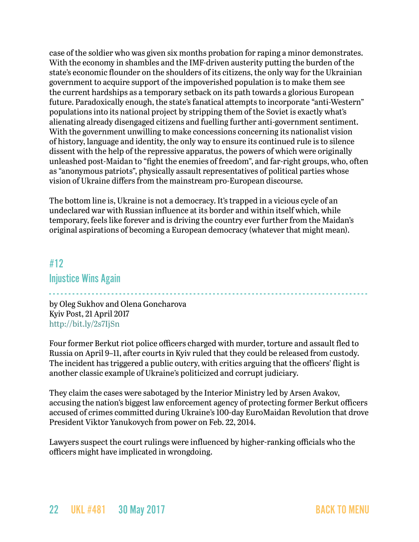case of the soldier who was given six months probation for raping a minor demonstrates. With the economy in shambles and the IMF-driven austerity putting the burden of the state's economic flounder on the shoulders of its citizens, the only way for the Ukrainian government to acquire support of the impoverished population is to make them see the current hardships as a temporary setback on its path towards a glorious European future. Paradoxically enough, the state's fanatical attempts to incorporate "anti-Western" populations into its national project by stripping them of the Soviet is exactly what's alienating already disengaged citizens and fuelling further anti-government sentiment. With the government unwilling to make concessions concerning its nationalist vision of history, language and identity, the only way to ensure its continued rule is to silence dissent with the help of the repressive apparatus, the powers of which were originally unleashed post-Maidan to "fight the enemies of freedom", and far-right groups, who, often as "anonymous patriots", physically assault representatives of political parties whose vision of Ukraine differs from the mainstream pro-European discourse.

The bottom line is, Ukraine is not a democracy. It's trapped in a vicious cycle of an undeclared war with Russian influence at its border and within itself which, while temporary, feels like forever and is driving the country ever further from the Maidan's original aspirations of becoming a European democracy (whatever that might mean).

# #12 Injustice Wins Again

- - - - - - - - - - - - - - - - - - - - - - - - - - - - - - - - - - - - - - - - - - - - - - - - - - - - - - - - - - - - - - - - - - - - - - - - - - - - - - - - - by Oleg Sukhov and Olena Goncharova Kyiv Post, 21 April 2017 <http://bit.ly/2s7IjSn>

Four former Berkut riot police officers charged with murder, torture and assault fled to Russia on April 9–11, after courts in Kyiv ruled that they could be released from custody. The incident has triggered a public outcry, with critics arguing that the officers' flight is another classic example of Ukraine's politicized and corrupt judiciary.

They claim the cases were sabotaged by the Interior Ministry led by Arsen Avakov, accusing the nation's biggest law enforcement agency of protecting former Berkut officers accused of crimes committed during Ukraine's 100-day EuroMaidan Revolution that drove President Viktor Yanukovych from power on Feb. 22, 2014.

Lawyers suspect the court rulings were influenced by higher-ranking officials who the officers might have implicated in wrongdoing.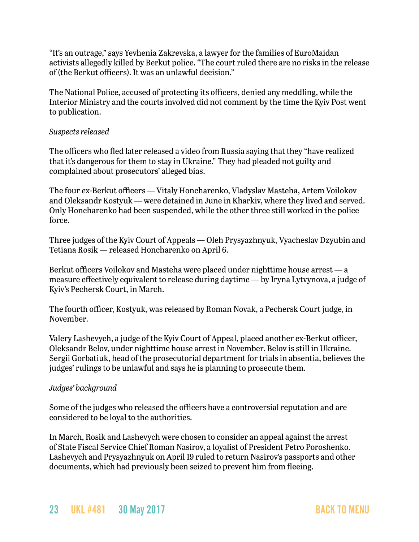"It's an outrage," says Yevhenia Zakrevska, a lawyer for the families of EuroMaidan activists allegedly killed by Berkut police. "The court ruled there are no risks in the release of (the Berkut officers). It was an unlawful decision."

The National Police, accused of protecting its officers, denied any meddling, while the Interior Ministry and the courts involved did not comment by the time the Kyiv Post went to publication.

#### *Suspects released*

The officers who fled later released a video from Russia saying that they "have realized that it's dangerous for them to stay in Ukraine." They had pleaded not guilty and complained about prosecutors' alleged bias.

The four ex-Berkut officers — Vitaly Honcharenko, Vladyslav Masteha, Artem Voilokov and Oleksandr Kostyuk — were detained in June in Kharkiv, where they lived and served. Only Honcharenko had been suspended, while the other three still worked in the police force.

Three judges of the Kyiv Court of Appeals — Oleh Prysyazhnyuk, Vyacheslav Dzyubin and Tetiana Rosik — released Honcharenko on April 6.

Berkut officers Voilokov and Masteha were placed under nighttime house arrest — a measure effectively equivalent to release during daytime — by Iryna Lytvynova, a judge of Kyiv's Pechersk Court, in March.

The fourth officer, Kostyuk, was released by Roman Novak, a Pechersk Court judge, in November.

Valery Lashevych, a judge of the Kyiv Court of Appeal, placed another ex-Berkut officer, Oleksandr Belov, under nighttime house arrest in November. Belov is still in Ukraine. Sergii Gorbatiuk, head of the prosecutorial department for trials in absentia, believes the judges' rulings to be unlawful and says he is planning to prosecute them.

### *Judges' background*

Some of the judges who released the officers have a controversial reputation and are considered to be loyal to the authorities.

In March, Rosik and Lashevych were chosen to consider an appeal against the arrest of State Fiscal Service Chief Roman Nasirov, a loyalist of President Petro Poroshenko. Lashevych and Prysyazhnyuk on April 19 ruled to return Nasirov's passports and other documents, which had previously been seized to prevent him from fleeing.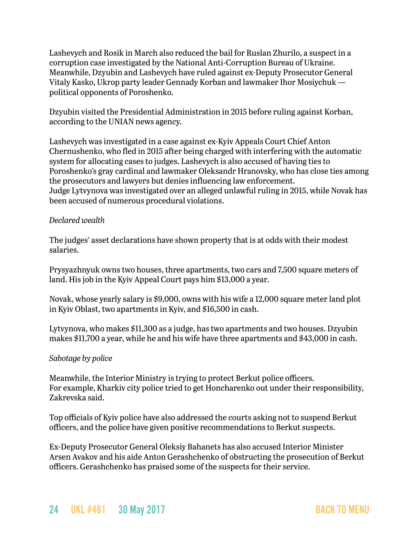Lashevych and Rosik in March also reduced the bail for Ruslan Zhurilo, a suspect in a corruption case investigated by the National Anti-Corruption Bureau of Ukraine. Meanwhile, Dzyubin and Lashevych have ruled against ex-Deputy Prosecutor General Vitaly Kasko, Ukrop party leader Gennady Korban and lawmaker Ihor Mosiychuk political opponents of Poroshenko.

Dzyubin visited the Presidential Administration in 2015 before ruling against Korban, according to the UNIAN news agency.

Lashevych was investigated in a case against ex-Kyiv Appeals Court Chief Anton Chernushenko, who fled in 2015 after being charged with interfering with the automatic system for allocating cases to judges. Lashevych is also accused of having ties to Poroshenko's gray cardinal and lawmaker Oleksandr Hranovsky, who has close ties among the prosecutors and lawyers but denies influencing law enforcement. Judge Lytvynova was investigated over an alleged unlawful ruling in 2015, while Novak has been accused of numerous procedural violations.

### *Declared wealth*

The judges' asset declarations have shown property that is at odds with their modest salaries.

Prysyazhnyuk owns two houses, three apartments, two cars and 7,500 square meters of land. His job in the Kyiv Appeal Court pays him \$13,000 a year.

Novak, whose yearly salary is \$9,000, owns with his wife a 12,000 square meter land plot in Kyiv Oblast, two apartments in Kyiv, and \$16,500 in cash.

Lytvynova, who makes \$11,300 as a judge, has two apartments and two houses. Dzyubin makes \$11,700 a year, while he and his wife have three apartments and \$43,000 in cash.

### *Sabotage by police*

Meanwhile, the Interior Ministry is trying to protect Berkut police officers. For example, Kharkiv city police tried to get Honcharenko out under their responsibility, Zakrevska said.

Top officials of Kyiv police have also addressed the courts asking not to suspend Berkut officers, and the police have given positive recommendations to Berkut suspects.

Ex-Deputy Prosecutor General Oleksiy Bahanets has also accused Interior Minister Arsen Avakov and his aide Anton Gerashchenko of obstructing the prosecution of Berkut officers. Gerashchenko has praised some of the suspects for their service.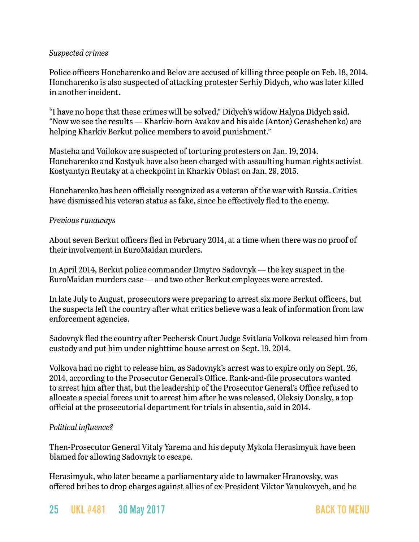### *Suspected crimes*

Police officers Honcharenko and Belov are accused of killing three people on Feb. 18, 2014. Honcharenko is also suspected of attacking protester Serhiy Didych, who was later killed in another incident.

"I have no hope that these crimes will be solved," Didych's widow Halyna Didych said. "Now we see the results — Kharkiv-born Avakov and his aide (Anton) Gerashchenko) are helping Kharkiv Berkut police members to avoid punishment."

Masteha and Voilokov are suspected of torturing protesters on Jan. 19, 2014. Honcharenko and Kostyuk have also been charged with assaulting human rights activist Kostyantyn Reutsky at a checkpoint in Kharkiv Oblast on Jan. 29, 2015.

Honcharenko has been officially recognized as a veteran of the war with Russia. Critics have dismissed his veteran status as fake, since he effectively fled to the enemy.

#### *Previous runaways*

About seven Berkut officers fled in February 2014, at a time when there was no proof of their involvement in EuroMaidan murders.

In April 2014, Berkut police commander Dmytro Sadovnyk — the key suspect in the EuroMaidan murders case — and two other Berkut employees were arrested.

In late July to August, prosecutors were preparing to arrest six more Berkut officers, but the suspects left the country after what critics believe was a leak of information from law enforcement agencies.

Sadovnyk fled the country after Pechersk Court Judge Svitlana Volkova released him from custody and put him under nighttime house arrest on Sept. 19, 2014.

Volkova had no right to release him, as Sadovnyk's arrest was to expire only on Sept. 26, 2014, according to the Prosecutor General's Office. Rank-and-file prosecutors wanted to arrest him after that, but the leadership of the Prosecutor General's Office refused to allocate a special forces unit to arrest him after he was released, Oleksiy Donsky, a top official at the prosecutorial department for trials in absentia, said in 2014.

### *Political influence?*

Then-Prosecutor General Vitaly Yarema and his deputy Mykola Herasimyuk have been blamed for allowing Sadovnyk to escape.

Herasimyuk, who later became a parliamentary aide to lawmaker Hranovsky, was offered bribes to drop charges against allies of ex-President Viktor Yanukovych, and he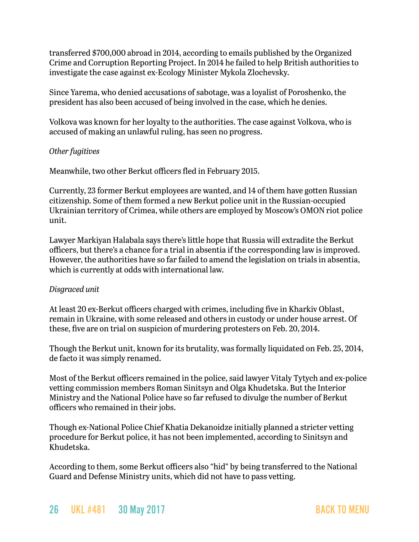transferred \$700,000 abroad in 2014, according to emails published by the Organized Crime and Corruption Reporting Project. In 2014 he failed to help British authorities to investigate the case against ex-Ecology Minister Mykola Zlochevsky.

Since Yarema, who denied accusations of sabotage, was a loyalist of Poroshenko, the president has also been accused of being involved in the case, which he denies.

Volkova was known for her loyalty to the authorities. The case against Volkova, who is accused of making an unlawful ruling, has seen no progress.

### *Other fugitives*

Meanwhile, two other Berkut officers fled in February 2015.

Currently, 23 former Berkut employees are wanted, and 14 of them have gotten Russian citizenship. Some of them formed a new Berkut police unit in the Russian-occupied Ukrainian territory of Crimea, while others are employed by Moscow's OMON riot police unit.

Lawyer Markiyan Halabala says there's little hope that Russia will extradite the Berkut officers, but there's a chance for a trial in absentia if the corresponding law is improved. However, the authorities have so far failed to amend the legislation on trials in absentia, which is currently at odds with international law.

### *Disgraced unit*

At least 20 ex-Berkut officers charged with crimes, including five in Kharkiv Oblast, remain in Ukraine, with some released and others in custody or under house arrest. Of these, five are on trial on suspicion of murdering protesters on Feb. 20, 2014.

Though the Berkut unit, known for its brutality, was formally liquidated on Feb. 25, 2014, de facto it was simply renamed.

Most of the Berkut officers remained in the police, said lawyer Vitaly Tytych and ex-police vetting commission members Roman Sinitsyn and Olga Khudetska. But the Interior Ministry and the National Police have so far refused to divulge the number of Berkut officers who remained in their jobs.

Though ex-National Police Chief Khatia Dekanoidze initially planned a stricter vetting procedure for Berkut police, it has not been implemented, according to Sinitsyn and Khudetska.

According to them, some Berkut officers also "hid" by being transferred to the National Guard and Defense Ministry units, which did not have to pass vetting.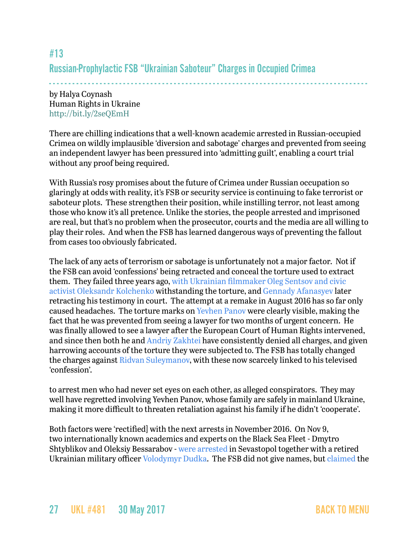# #13 Russian-Prophylactic FSB "Ukrainian Saboteur" Charges in Occupied Crimea

- - - - - - - - - - - - - - - - - - - - - - - - - - - - - - - - - - - - - - - - - - - - - - - - - - - - - - - - - - - - - - - - - - - - - - - - - - - - - - - - - by Halya Coynash Human Rights in Ukraine <http://bit.ly/2seQEmH>

There are chilling indications that a well-known academic arrested in Russian-occupied Crimea on wildly implausible 'diversion and sabotage' charges and prevented from seeing an independent lawyer has been pressured into 'admitting guilt', enabling a court trial without any proof being required.

With Russia's rosy promises about the future of Crimea under Russian occupation so glaringly at odds with reality, it's FSB or security service is continuing to fake terrorist or saboteur plots. These strengthen their position, while instilling terror, not least among those who know it's all pretence. Unlike the stories, the people arrested and imprisoned are real, but that's no problem when the prosecutor, courts and the media are all willing to play their roles. And when the FSB has learned dangerous ways of preventing the fallout from cases too obviously fabricated.

The lack of any acts of terrorism or sabotage is unfortunately not a major factor. Not if the FSB can avoid 'confessions' being retracted and conceal the torture used to extract them. They failed three years ago, [with Ukrainian filmmaker Oleg Sentsov and civic](http://khpg.org/index.php?id=1494021982)  [activist Oleksandr Kolchenko](http://khpg.org/index.php?id=1494021982) withstanding the torture, and [Gennady Afanasyev](http://khpg.org/index.php?id=1438348634) later retracting his testimony in court. The attempt at a remake in August 2016 has so far only caused headaches. The torture marks on [Yevhen Panov](http://khpg.org/en/index.php?id=1486766139) were clearly visible, making the fact that he was prevented from seeing a lawyer for two months of urgent concern. He was finally allowed to see a lawyer after the European Court of Human Rights intervened, and since then both he and [Andriy Zakhtei](http://khpg.org/index.php?id=1481244482) have consistently denied all charges, and given harrowing accounts of the torture they were subjected to. The FSB has totally changed the charges against [Ridvan Suleymanov](http://khpg.org/en/index.php?id=1492220780), with these now scarcely linked to his televised 'confession'.

to arrest men who had never set eyes on each other, as alleged conspirators. They may well have regretted involving Yevhen Panov, whose family are safely in mainland Ukraine, making it more difficult to threaten retaliation against his family if he didn't 'cooperate'.

Both factors were 'rectified] with the next arrests in November 2016. On Nov 9, two internationally known academics and experts on the Black Sea Fleet - Dmytro Shtyblikov and Oleksiy Bessarabov - [were arrested](http://khpg.org/en/index.php?id=1478822889) in Sevastopol together with a retired Ukrainian military officer [Volodymyr Dudka](http://khpg.org/en/index.php?id=1487365124). The FSB did not give names, but [claimed](https://d.docs.live.net/abcfb2b7cee8fcaf/0/%D0%A4%D0%A1%D0%91%20%D0%A0%D0%BE%D1%81%D1%81%D0%B8%D0%B8%20%D0%B7%D0%B0%D0%B4%D0%B5%D1%80%D0%B6%D0%B0%D0%BD%D1%8B%20%D1%87%D0%BB%D0%B5%D0%BD%D1%8B%20%D0%B4%D0%B8%D0%B2%D0%B5%D1%80%D1%81%D0%B8%D0%BE%D0%BD%D0%BD%D0%BE-%D1%82%D0%B5%D1%80%D1%80%D0%BE%D1%80%D0%B8%D1%81%D1%82%D0%B8%D1%87%D0%B5%D1%81%D0%BA%D0%BE%D0%B9%20%D0%B3%D1%80%D1%83%D0%BF%D0%BF%D1%8B%20%D0%93%D0%BB%D0%B0%D0%B2%D0%BD%D0%BE%D0%B3%D0%BE%20%D1%83%D0%BF%D1%80%D0%B0%D0%B2%D0%BB%D0%B5%D0%BD%D0%B8%D1%8F%20%D1%80%D0%B0%D0%B7%D0%B2%D0%B5%D0%B4%D0%BA%D0%B8%20%D0%9C%D0%B8%D0%BD%D0%B8%D1%81%D1%82%D0%B5%D1%80%D1%81%D1%82%D0%B2%D0%B0%20%D0%BE%D0%B1%D0%BE%D1%80%D0%BE%D0%BD%D1%8B%20%D0%A3%D0%BA%D1%80%D0%B0%D0%B8%D0%BD%D1%8B) the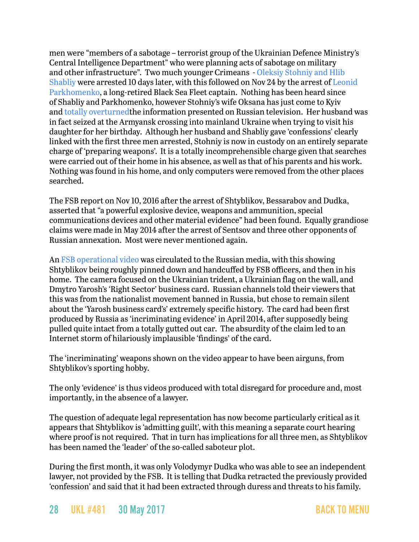men were "members of a sabotage – terrorist group of the Ukrainian Defence Ministry's Central Intelligence Department" who were planning acts of sabotage on military and other infrastructure". Two much younger Crimeans - [Oleksiy Stohniy and Hlib](http://khpg.org/en/index.php?id=1479730788)  [Shabliy](http://khpg.org/en/index.php?id=1479730788) were arrested 10 days later, with this followed on Nov 24 by the arrest of [Leonid](http://khpg.org/en/index.php?id=1480027741)  [Parkhomenko,](http://khpg.org/en/index.php?id=1480027741) a long-retired Black Sea Fleet captain. Nothing has been heard since of Shabliy and Parkhomenko, however Stohniy's wife Oksana has just come to Kyiv and [totally overturned](http://crimeahrg.org/v-kryimskom-dele-ukrainskih-diversantov-vyiyavlenyi-novyie-falsifikatsii/)the information presented on Russian television. Her husband was in fact seized at the Armyansk crossing into mainland Ukraine when trying to visit his daughter for her birthday. Although her husband and Shabliy gave 'confessions' clearly linked with the first three men arrested, Stohniy is now in custody on an entirely separate charge of 'preparing weapons'. It is a totally incomprehensible charge given that searches were carried out of their home in his absence, as well as that of his parents and his work. Nothing was found in his home, and only computers were removed from the other places searched.

The FSB report on Nov 10, 2016 after the arrest of Shtyblikov, Bessarabov and Dudka, asserted that "a powerful explosive device, weapons and ammunition, special communications devices and other material evidence" had been found. Equally grandiose claims were made in May 2014 after the arrest of Sentsov and three other opponents of Russian annexation. Most were never mentioned again.

An [FSB operational video](https://www.youtube.com/watch?v=fJT3jl13PJM) was circulated to the Russian media, with this showing Shtyblikov being roughly pinned down and handcuffed by FSB officers, and then in his home. The camera focused on the Ukrainian trident, a Ukrainian flag on the wall, and Dmytro Yarosh's 'Right Sector' business card. Russian channels told their viewers that this was from the nationalist movement banned in Russia, but chose to remain silent about the 'Yarosh business card's' extremely specific history. The card had been first produced by Russia as 'incriminating evidence' in April 2014, after supposedly being pulled quite intact from a totally gutted out car. The absurdity of the claim led to an Internet storm of hilariously implausible 'findings' of the card.

The 'incriminating' weapons shown on the video appear to have been airguns, from Shtyblikov's sporting hobby.

The only 'evidence' is thus videos produced with total disregard for procedure and, most importantly, in the absence of a lawyer.

The question of adequate legal representation has now become particularly critical as it appears that Shtyblikov is 'admitting guilt', with this meaning a separate court hearing where proof is not required. That in turn has implications for all three men, as Shtyblikov has been named the 'leader' of the so-called saboteur plot.

During the first month, it was only Volodymyr Dudka who was able to see an independent lawyer, not provided by the FSB. It is telling that Dudka retracted the previously provided 'confession' and said that it had been extracted through duress and threats to his family.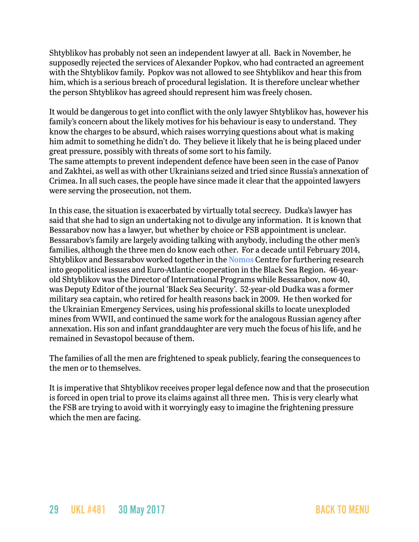Shtyblikov has probably not seen an independent lawyer at all. Back in November, he supposedly rejected the services of Alexander Popkov, who had contracted an agreement with the Shtyblikov family. Popkov was not allowed to see Shtyblikov and hear this from him, which is a serious breach of procedural legislation. It is therefore unclear whether the person Shtyblikov has agreed should represent him was freely chosen.

It would be dangerous to get into conflict with the only lawyer Shtyblikov has, however his family's concern about the likely motives for his behaviour is easy to understand. They know the charges to be absurd, which raises worrying questions about what is making him admit to something he didn't do. They believe it likely that he is being placed under great pressure, possibly with threats of some sort to his family.

The same attempts to prevent independent defence have been seen in the case of Panov and Zakhtei, as well as with other Ukrainians seized and tried since Russia's annexation of Crimea. In all such cases, the people have since made it clear that the appointed lawyers were serving the prosecution, not them.

In this case, the situation is exacerbated by virtually total secrecy. Dudka's lawyer has said that she had to sign an undertaking not to divulge any information. It is known that Bessarabov now has a lawyer, but whether by choice or FSB appointment is unclear. Bessarabov's family are largely avoiding talking with anybody, including the other men's families, although the three men do know each other. For a decade until February 2014, Shtyblikov and Bessarabov worked together in the [Nomos](https://en.wikipedia.org/wiki/Nomos_Center) Centre for furthering research into geopolitical issues and Euro-Atlantic cooperation in the Black Sea Region. 46-yearold Shtyblikov was the Director of International Programs while Bessarabov, now 40, was Deputy Editor of the journal 'Black Sea Security'. 52-year-old Dudka was a former military sea captain, who retired for health reasons back in 2009. He then worked for the Ukrainian Emergency Services, using his professional skills to locate unexploded mines from WWII, and continued the same work for the analogous Russian agency after annexation. His son and infant granddaughter are very much the focus of his life, and he remained in Sevastopol because of them.

The families of all the men are frightened to speak publicly, fearing the consequences to the men or to themselves.

It is imperative that Shtyblikov receives proper legal defence now and that the prosecution is forced in open trial to prove its claims against all three men. This is very clearly what the FSB are trying to avoid with it worryingly easy to imagine the frightening pressure which the men are facing.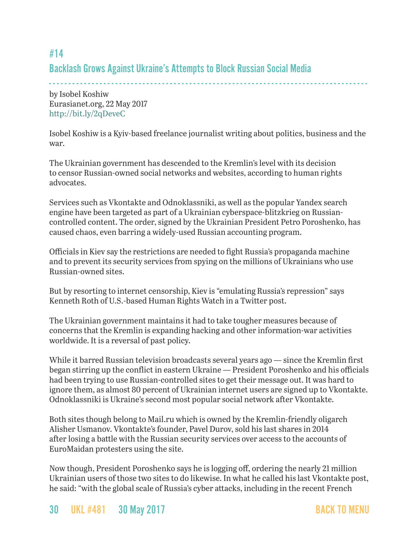# #14 Backlash Grows Against Ukraine's Attempts to Block Russian Social Media

- - - - - - - - - - - - - - - - - - - - - - - - - - - - - - - - - - - - - - - - - - - - - - - - - - - - - - - - - - - - - - - - - - - - - - - - - - - - - - - - - by [Isobel Koshiw](http://www.eurasianet.org/taxonomy/term/6866) [Eurasianet.org, 22 May 2017](http://www.eurasianet.org/taxonomy/term/2346) <http://bit.ly/2qDeveC>

Isobel Koshiw is a Kyiv-based freelance journalist writing about politics, business and the war.

The Ukrainian government has descended to the Kremlin's level with its decision to censor Russian-owned social networks and websites, according to human rights advocates.

Services such as Vkontakte and Odnoklassniki, as well as the popular Yandex search engine have been targeted as part of a Ukrainian cyberspace-blitzkrieg on Russiancontrolled content. The order, signed by the Ukrainian President Petro Poroshenko, has caused chaos, even barring a widely-used Russian accounting program.

Officials in Kiev say the restrictions are needed to fight Russia's propaganda machine and to prevent its security services from spying on the millions of Ukrainians who use Russian-owned sites.

But by resorting to internet censorship, Kiev is "emulating Russia's repression" says Kenneth Roth of U.S.-based Human Rights Watch in a Twitter post.

The Ukrainian government maintains it had to take tougher measures because of concerns that the Kremlin is expanding hacking and other information-war activities worldwide. It is a reversal of past policy.

While it barred Russian television broadcasts several years ago — since the Kremlin first began stirring up the conflict in eastern Ukraine — President Poroshenko and his officials had been trying to use Russian-controlled sites to get their message out. It was hard to ignore them, as almost 80 percent of Ukrainian internet users are signed up to Vkontakte. Odnoklassniki is Ukraine's second most popular social network after Vkontakte.

Both sites though belong to Mail.ru which is owned by the Kremlin-friendly oligarch Alisher Usmanov. Vkontakte's founder, Pavel Durov, sold his last shares in 2014 after losing a battle with the Russian security services over access to the accounts of EuroMaidan protesters using the site.

Now though, President Poroshenko says he is logging off, ordering the nearly 21 million Ukrainian users of those two sites to do likewise. In what he called his last Vkontakte post, he said: "with the global scale of Russia's cyber attacks, including in the recent French

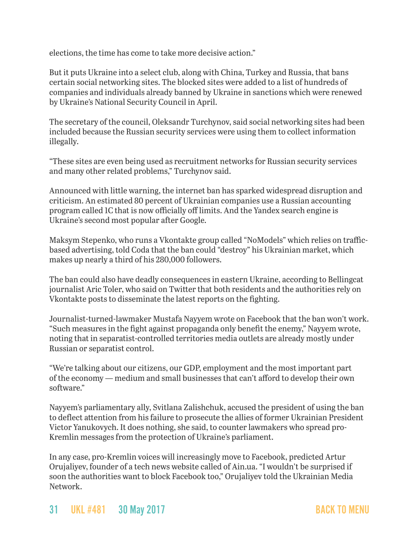elections, the time has come to take more decisive action."

But it puts Ukraine into a select club, along with China, Turkey and Russia, that bans certain social networking sites. The blocked sites were added to a list of hundreds of companies and individuals already banned by Ukraine in sanctions which were renewed by Ukraine's National Security Council in April.

The secretary of the council, Oleksandr Turchynov, said social networking sites had been included because the Russian security services were using them to collect information illegally.

"These sites are even being used as recruitment networks for Russian security services and many other related problems," Turchynov said.

Announced with little warning, the internet ban has sparked widespread disruption and criticism. An estimated 80 percent of Ukrainian companies use a Russian accounting program called 1C that is now officially off limits. And the Yandex search engine is Ukraine's second most popular after Google.

Maksym Stepenko, who runs a Vkontakte group called "NoModels" which relies on trafficbased advertising, told Coda that the ban could "destroy" his Ukrainian market, which makes up nearly a third of his 280,000 followers.

The ban could also have deadly consequences in eastern Ukraine, according to Bellingcat journalist Aric Toler, who said on Twitter that both residents and the authorities rely on Vkontakte posts to disseminate the latest reports on the fighting.

Journalist-turned-lawmaker Mustafa Nayyem wrote on Facebook that the ban won't work. "Such measures in the fight against propaganda only benefit the enemy," Nayyem wrote, noting that in separatist-controlled territories media outlets are already mostly under Russian or separatist control.

"We're talking about our citizens, our GDP, employment and the most important part of the economy — medium and small businesses that can't afford to develop their own software."

Nayyem's parliamentary ally, Svitlana Zalishchuk, accused the president of using the ban to deflect attention from his failure to prosecute the allies of former Ukrainian President Victor Yanukovych. It does nothing, she said, to counter lawmakers who spread pro-Kremlin messages from the protection of Ukraine's parliament.

In any case, pro-Kremlin voices will increasingly move to Facebook, predicted Artur Orujaliyev, founder of a tech news website called of Ain.ua. "I wouldn't be surprised if soon the authorities want to block Facebook too," Orujaliyev told the Ukrainian Media Network.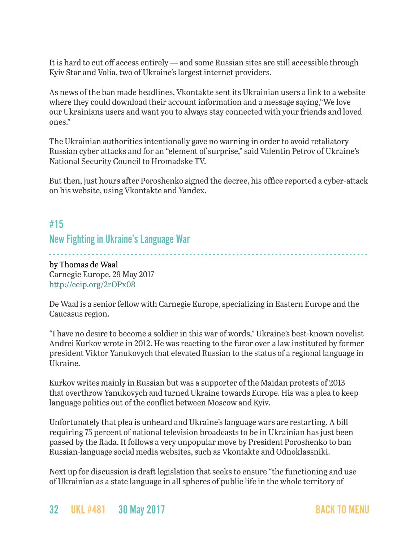It is hard to cut off access entirely — and some Russian sites are still accessible through Kyiv Star and Volia, two of Ukraine's largest internet providers.

As news of the ban made headlines, Vkontakte sent its Ukrainian users a link to a website where they could download their account information and a message saying,"We love our Ukrainians users and want you to always stay connected with your friends and loved ones."

The Ukrainian authorities intentionally gave no warning in order to avoid retaliatory Russian cyber attacks and for an "element of surprise," said Valentin Petrov of Ukraine's National Security Council to Hromadske TV.

But then, just hours after Poroshenko signed the decree, his office reported a cyber-attack on his website, using Vkontakte and Yandex.

# #15 New Fighting in Ukraine's Language War

- - - - - - - - - - - - - - - - - - - - - - - - - - - - - - - - - - - - - - - - - - - - - - - - - - - - - - - - - - - - - - - - - - - - - - - - - - - - - - - - - by Thomas de Waal Carnegie Europe, 29 May 2017 <http://ceip.org/2rOPx08>

De Waal is a senior fellow with Carnegie Europe, specializing in Eastern Europe and the Caucasus region.

"I have no desire to become a soldier in this war of words," Ukraine's best-known novelist Andrei Kurkov wrote in 2012. He was reacting to the furor over a law instituted by former president Viktor Yanukovych that elevated Russian to the status of a regional language in Ukraine.

Kurkov writes mainly in Russian but was a supporter of the Maidan protests of 2013 that overthrow Yanukovych and turned Ukraine towards Europe. His was a plea to keep language politics out of the conflict between Moscow and Kyiv.

Unfortunately that plea is unheard and Ukraine's language wars are restarting. A bill requiring 75 percent of national television broadcasts to be in Ukrainian has just been passed by the Rada. It follows a very unpopular move by President Poroshenko to ban Russian-language social media websites, such as Vkontakte and Odnoklassniki.

Next up for discussion is draft legislation that seeks to ensure "the functioning and use of Ukrainian as a state language in all spheres of public life in the whole territory of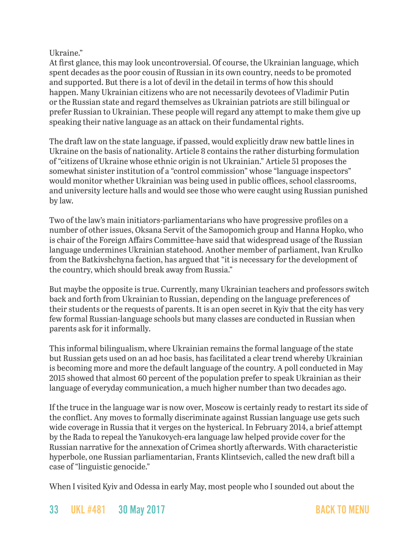### Ukraine."

At first glance, this may look uncontroversial. Of course, the Ukrainian language, which spent decades as the poor cousin of Russian in its own country, needs to be promoted and supported. But there is a lot of devil in the detail in terms of how this should happen. Many Ukrainian citizens who are not necessarily devotees of Vladimir Putin or the Russian state and regard themselves as Ukrainian patriots are still bilingual or prefer Russian to Ukrainian. These people will regard any attempt to make them give up speaking their native language as an attack on their fundamental rights.

The draft law on the state language, if passed, would explicitly draw new battle lines in Ukraine on the basis of nationality. Article 8 contains the rather disturbing formulation of "citizens of Ukraine whose ethnic origin is not Ukrainian." Article 51 proposes the somewhat sinister institution of a "control commission" whose "language inspectors" would monitor whether Ukrainian was being used in public offices, school classrooms, and university lecture halls and would see those who were caught using Russian punished by law.

Two of the law's main initiators-parliamentarians who have progressive profiles on a number of other issues, Oksana Servit of the Samopomich group and Hanna Hopko, who is chair of the Foreign Affairs Committee-have said that widespread usage of the Russian language undermines Ukrainian statehood. Another member of parliament, Ivan Krulko from the Batkivshchyna faction, has argued that "it is necessary for the development of the country, which should break away from Russia."

But maybe the opposite is true. Currently, many Ukrainian teachers and professors switch back and forth from Ukrainian to Russian, depending on the language preferences of their students or the requests of parents. It is an open secret in Kyiv that the city has very few formal Russian-language schools but many classes are conducted in Russian when parents ask for it informally.

This informal bilingualism, where Ukrainian remains the formal language of the state but Russian gets used on an ad hoc basis, has facilitated a clear trend whereby Ukrainian is becoming more and more the default language of the country. A poll conducted in May 2015 showed that almost 60 percent of the population prefer to speak Ukrainian as their language of everyday communication, a much higher number than two decades ago.

If the truce in the language war is now over, Moscow is certainly ready to restart its side of the conflict. Any moves to formally discriminate against Russian language use gets such wide coverage in Russia that it verges on the hysterical. In February 2014, a brief attempt by the Rada to repeal the Yanukovych-era language law helped provide cover for the Russian narrative for the annexation of Crimea shortly afterwards. With characteristic hyperbole, one Russian parliamentarian, Frants Klintsevich, called the new draft bill a case of "linguistic genocide."

When I visited Kyiv and Odessa in early May, most people who I sounded out about the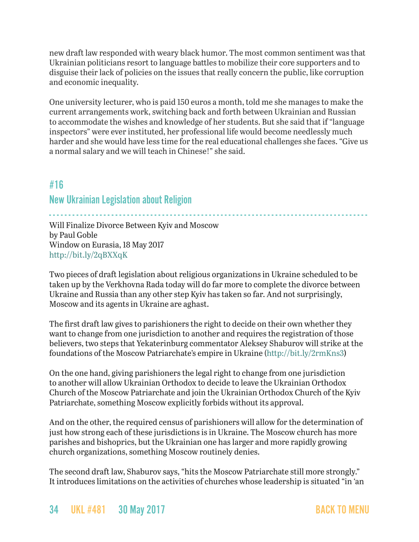new draft law responded with weary black humor. The most common sentiment was that Ukrainian politicians resort to language battles to mobilize their core supporters and to disguise their lack of policies on the issues that really concern the public, like corruption and economic inequality.

One university lecturer, who is paid 150 euros a month, told me she manages to make the current arrangements work, switching back and forth between Ukrainian and Russian to accommodate the wishes and knowledge of her students. But she said that if "language inspectors" were ever instituted, her professional life would become needlessly much harder and she would have less time for the real educational challenges she faces. "Give us a normal salary and we will teach in Chinese!" she said.

## <span id="page-33-0"></span>#16

### New Ukrainian Legislation about Religion

- - - - - - - - - - - - - - - - - - - - - - - - - - - - - - - - - - - - - - - - - - - - - - - - - - - - - - - - - - - - - - - - - - - - - - - - - - - - - - - - - - Will Finalize Divorce Between Kyiv and Moscow by Paul Goble Window on Eurasia, 18 May 2017 <http://bit.ly/2qBXXqK>

Two pieces of draft legislation about religious organizations in Ukraine scheduled to be taken up by the Verkhovna Rada today will do far more to complete the divorce between Ukraine and Russia than any other step Kyiv has taken so far. And not surprisingly, Moscow and its agents in Ukraine are aghast.

The first draft law gives to parishioners the right to decide on their own whether they want to change from one jurisdiction to another and requires the registration of those believers, two steps that Yekaterinburg commentator Aleksey Shaburov will strike at the foundations of the Moscow Patriarchate's empire in Ukraine ([http://bit.ly/2rmKns3\)](http://bit.ly/2rmKns3)

On the one hand, giving parishioners the legal right to change from one jurisdiction to another will allow Ukrainian Orthodox to decide to leave the Ukrainian Orthodox Church of the Moscow Patriarchate and join the Ukrainian Orthodox Church of the Kyiv Patriarchate, something Moscow explicitly forbids without its approval.

And on the other, the required census of parishioners will allow for the determination of just how strong each of these jurisdictions is in Ukraine. The Moscow church has more parishes and bishoprics, but the Ukrainian one has larger and more rapidly growing church organizations, something Moscow routinely denies.

The second draft law, Shaburov says, "hits the Moscow Patriarchate still more strongly." It introduces limitations on the activities of churches whose leadership is situated "in 'an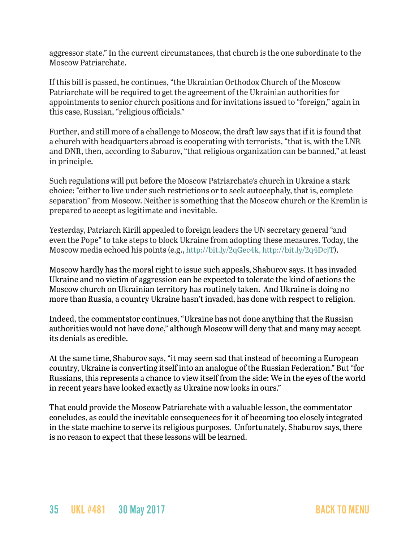aggressor state." In the current circumstances, that church is the one subordinate to the Moscow Patriarchate.

If this bill is passed, he continues, "the Ukrainian Orthodox Church of the Moscow Patriarchate will be required to get the agreement of the Ukrainian authorities for appointments to senior church positions and for invitations issued to "foreign," again in this case, Russian, "religious officials."

Further, and still more of a challenge to Moscow, the draft law says that if it is found that a church with headquarters abroad is cooperating with terrorists, "that is, with the LNR and DNR, then, according to Saburov, "that religious organization can be banned," at least in principle.

Such regulations will put before the Moscow Patriarchate's church in Ukraine a stark choice: "either to live under such restrictions or to seek autocephaly, that is, complete separation" from Moscow. Neither is something that the Moscow church or the Kremlin is prepared to accept as legitimate and inevitable.

Yesterday, Patriarch Kirill appealed to foreign leaders the UN secretary general "and even the Pope" to take steps to block Ukraine from adopting these measures. Today, the Moscow media echoed his points (e.g.,<http://bit.ly/2qGec4k>, <http://bit.ly/2q4DcjT>).

Moscow hardly has the moral right to issue such appeals, Shaburov says. It has invaded Ukraine and no victim of aggression can be expected to tolerate the kind of actions the Moscow church on Ukrainian territory has routinely taken. And Ukraine is doing no more than Russia, a country Ukraine hasn't invaded, has done with respect to religion.

Indeed, the commentator continues, "Ukraine has not done anything that the Russian authorities would not have done," although Moscow will deny that and many may accept its denials as credible.

At the same time, Shaburov says, "it may seem sad that instead of becoming a European country, Ukraine is converting itself into an analogue of the Russian Federation." But "for Russians, this represents a chance to view itself from the side: We in the eyes of the world in recent years have looked exactly as Ukraine now looks in ours."

That could provide the Moscow Patriarchate with a valuable lesson, the commentator concludes, as could the inevitable consequences for it of becoming too closely integrated in the state machine to serve its religious purposes. Unfortunately, Shaburov says, there is no reason to expect that these lessons will be learned.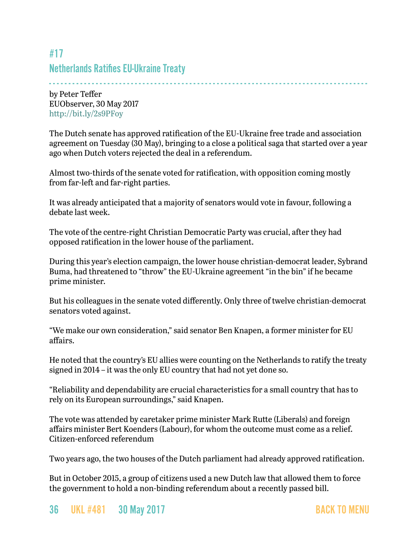# <span id="page-35-0"></span>#17 Netherlands Ratifies EU-Ukraine Treaty

by Peter Teffer EUObserver, 30 May 2017 <http://bit.ly/2s9PFoy>

The Dutch senate has approved ratification of the EU-Ukraine free trade and association agreement on Tuesday (30 May), bringing to a close a political saga that started over a year ago when Dutch voters rejected the deal in a referendum.

- - - - - - - - - - - - - - - - - - - - - - - - - - - - - - - - - - - - - - - - - - - - - - - - - - - - - - - - - - - - - - - - - - - - - - - - - - - - - - - - - -

Almost two-thirds of the senate voted for ratification, with opposition coming mostly from far-left and far-right parties.

It was already anticipated that a majority of senators would vote in favour, following a debate last week.

The vote of the centre-right Christian Democratic Party was crucial, after they had opposed ratification in the lower house of the parliament.

During this year's election campaign, the lower house christian-democrat leader, Sybrand Buma, had threatened to ["throw" the EU-Ukraine agreement "in the bin"](https://euobserver.com/beyond-brussels/137036) if he became prime minister.

But his colleagues in the senate voted differently. Only three of twelve christian-democrat senators voted against.

"We make our own consideration," said senator Ben Knapen, a former minister for EU affairs.

He noted that the country's EU allies were counting on the Netherlands to ratify the treaty signed in 2014 – it was the only EU country that had not yet done so.

"Reliability and dependability are crucial characteristics for a small country that has to rely on its European surroundings," said Knapen.

The vote was attended by caretaker prime minister Mark Rutte (Liberals) and foreign affairs minister Bert Koenders (Labour), for whom the outcome must come as a relief. Citizen-enforced referendum

Two years ago, the two houses of the Dutch parliament had already approved ratification.

But in October 2015, a group of citizens used a new Dutch law that allowed them [to force](https://euobserver.com/enlargement/130673)  [the government to hold a non-binding referendum](https://euobserver.com/enlargement/130673) about a recently passed bill.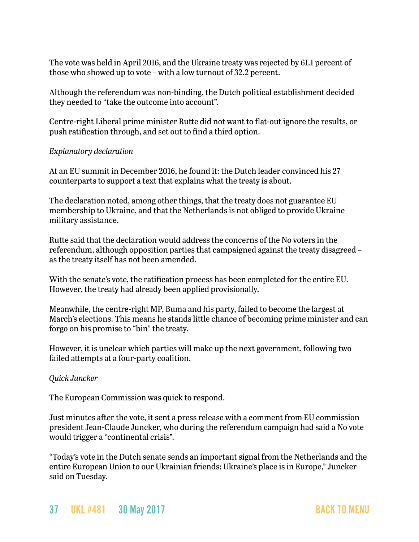The vote was held in April 2016, and the Ukraine treaty [was rejected by 61.1 percent](https://euobserver.com/beyond-brussels/132955) of those who showed up to vote – with a low turnout of 32.2 percent.

Although the referendum was non-binding, the Dutch political establishment decided they needed to "take the outcome into account".

Centre-right Liberal prime minister Rutte did not want to flat-out ignore the results, or push ratification through, and set out [to find a third option](https://euobserver.com/foreign/136211).

### *Explanatory declaration*

[At an EU summit in December 2016,](https://euobserver.com/foreign/136305) he found it: the Dutch leader convinced his 27 counterparts to support a text that explains what the treaty is about.

The declaration noted, among other things, that the treaty does not guarantee EU membership to Ukraine, and that the Netherlands is not obliged to provide Ukraine military assistance.

Rutte said that the declaration would address the concerns of the No voters in the referendum, although opposition parties that campaigned against the treaty disagreed – as the treaty itself has not been amended.

With the senate's vote, the ratification process has been completed for the entire EU. However, the treaty had already been applied provisionally.

Meanwhile, the centre-right MP, Buma and his party, failed to become the largest at March's elections. This means he stands little chance of becoming prime minister and can forgo on his promise to "bin" the treaty.

However, it is unclear which parties will make up the next government, following [two](https://euobserver.com/beyond-brussels/138006)  [failed attempts at a four-party coalition.](https://euobserver.com/beyond-brussels/138006)

### *Quick Juncker*

The European Commission was quick to respond.

Just minutes after the vote, it sent a press release with a comment from EU commission president Jean-Claude Juncker, who during the referendum campaign had said a No vote would trigger a "continental crisis".

"Today's vote in the Dutch senate sends an important signal from the Netherlands and the entire European Union to our Ukrainian friends: Ukraine's place is in Europe," Juncker said on Tuesday.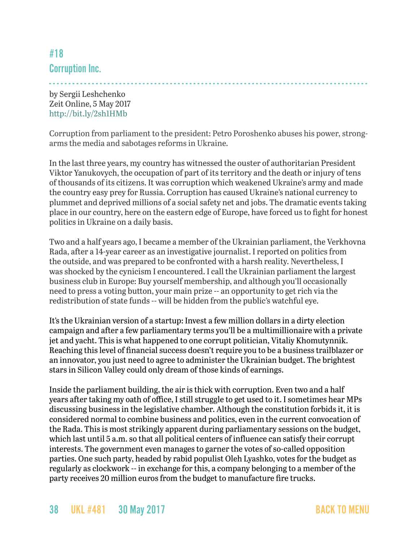# <span id="page-37-0"></span>#18 Corruption Inc.

- - - - - - - - - - - - - - - - - - - - - - - - - - - - - - - - - - - - - - - - - - - - - - - - - - - - - - - - - - - - - - - - - - - - - - - - - - - - - - - - - by Sergii Leshchenko Zeit Online, 5 May 2017 <http://bit.ly/2sh1HMb>

Corruption from parliament to the president: Petro Poroshenko abuses his power, strongarms the media and sabotages reforms in Ukraine.

In the last three years, my country has witnessed the ouster of authoritarian President Viktor Yanukovych, the occupation of part of its territory and the death or injury of tens of thousands of its citizens. It was corruption which weakened Ukraine's army and made the country easy prey for Russia. Corruption has caused Ukraine's national currency to plummet and deprived millions of a social safety net and jobs. The dramatic events taking place in our country, here on the eastern edge of Europe, have forced us to fight for honest politics in Ukraine on a daily basis.

Two and a half years ago, I became a member of the Ukrainian parliament, the Verkhovna Rada, after a 14-year career as an investigative journalist. I reported on politics from the outside, and was prepared to be confronted with a harsh reality. Nevertheless, I was shocked by the cynicism I encountered. I call the Ukrainian parliament the largest business club in Europe: Buy yourself membership, and although you'll occasionally need to press a voting button, your main prize -- an opportunity to get rich via the redistribution of state funds -- will be hidden from the public's watchful eye.

It's the Ukrainian version of a startup: Invest a few million dollars in a dirty election campaign and after a few parliamentary terms you'll be a multimillionaire with a private jet and yacht. This is what happened to one corrupt politician, Vitaliy Khomutynnik. Reaching this level of financial success doesn't require you to be a business trailblazer or an innovator, you just need to agree to administer the Ukrainian budget. The brightest stars in Silicon Valley could only dream of those kinds of earnings.

Inside the parliament building, the air is thick with corruption. Even two and a half years after taking my oath of office, I still struggle to get used to it. I sometimes hear MPs discussing business in the legislative chamber. Although the constitution forbids it, it is considered normal to combine business and politics, even in the current convocation of the Rada. This is most strikingly apparent during parliamentary sessions on the budget, which last until 5 a.m. so that all political centers of influence can satisfy their corrupt interests. The government even manages to garner the votes of so-called opposition parties. One such party, headed by rabid populist Oleh Lyashko, votes for the budget as regularly as clockwork -- in exchange for this, a company belonging to a member of the party receives 20 million euros from the budget to manufacture fire trucks.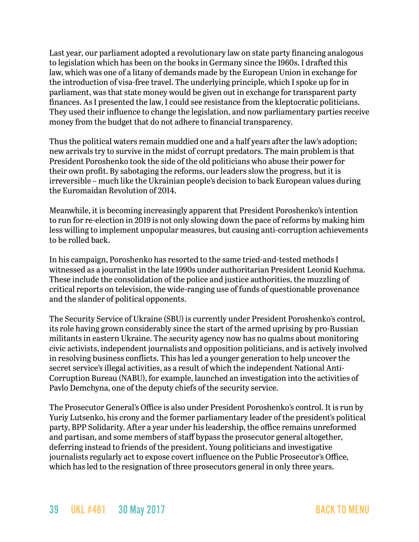Last year, our parliament adopted a revolutionary law on state party financing analogous to legislation which has been on the books in Germany since the 1960s. I drafted this law, which was one of a litany of demands made by the European Union in exchange for the introduction of visa-free travel. The underlying principle, which I spoke up for in parliament, was that state money would be given out in exchange for transparent party finances. As I presented the law, I could see resistance from the kleptocratic politicians. They used their influence to change the legislation, and now parliamentary parties receive money from the budget that do not adhere to financial transparency.

Thus the political waters remain muddied one and a half years after the law's adoption; new arrivals try to survive in the midst of corrupt predators. The main problem is that President Poroshenko took the side of the old politicians who abuse their power for their own profit. By sabotaging the reforms, our leaders slow the progress, but it is irreversible – much like the Ukrainian people's decision to back European values during the Euromaidan Revolution of 2014.

Meanwhile, it is becoming increasingly apparent that President Poroshenko's intention to run for re-election in 2019 is not only slowing down the pace of reforms by making him less willing to implement unpopular measures, but causing anti-corruption achievements to be rolled back.

In his campaign, Poroshenko has resorted to the same tried-and-tested methods I witnessed as a journalist in the late 1990s under authoritarian President Leonid Kuchma. These include the consolidation of the police and justice authorities, the muzzling of critical reports on television, the wide-ranging use of funds of questionable provenance and the slander of political opponents.

The Security Service of Ukraine (SBU) is currently under President Poroshenko's control, its role having grown considerably since the start of the armed uprising by pro-Russian militants in eastern Ukraine. The security agency now has no qualms about monitoring civic activists, independent journalists and opposition politicians, and is actively involved in resolving business conflicts. This has led a younger generation to help uncover the secret service's illegal activities, as a result of which the independent National Anti-Corruption Bureau (NABU), for example, launched an investigation into the activities of Pavlo Demchyna, one of the deputy chiefs of the security service.

The Prosecutor General's Office is also under President Poroshenko's control. It is run by Yuriy Lutsenko, his crony and the former parliamentary leader of the president's political party, BPP Solidarity. After a year under his leadership, the office remains unreformed and partisan, and some members of staff bypass the prosecutor general altogether, deferring instead to friends of the president. Young politicians and investigative journalists regularly act to expose covert influence on the Public Prosecutor's Office, which has led to the resignation of three prosecutors general in only three years.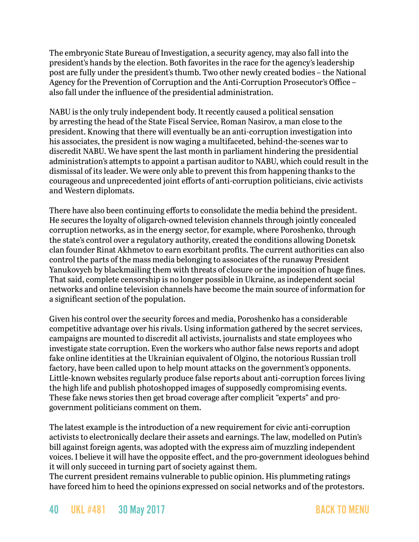The embryonic State Bureau of Investigation, a security agency, may also fall into the president's hands by the election. Both favorites in the race for the agency's leadership post are fully under the president's thumb. Two other newly created bodies – the National Agency for the Prevention of Corruption and the Anti-Corruption Prosecutor's Office – also fall under the influence of the presidential administration.

NABU is the only truly independent body. It recently caused a political sensation by arresting the head of the State Fiscal Service, Roman Nasirov, a man close to the president. Knowing that there will eventually be an anti-corruption investigation into his associates, the president is now waging a multifaceted, behind-the-scenes war to discredit NABU. We have spent the last month in parliament hindering the presidential administration's attempts to appoint a partisan auditor to NABU, which could result in the dismissal of its leader. We were only able to prevent this from happening thanks to the courageous and unprecedented joint efforts of anti-corruption politicians, civic activists and Western diplomats.

There have also been continuing efforts to consolidate the media behind the president. He secures the loyalty of oligarch-owned television channels through jointly concealed corruption networks, as in the energy sector, for example, where Poroshenko, through the state's control over a regulatory authority, created the conditions allowing Donetsk clan founder Rinat Akhmetov to earn exorbitant profits. The current authorities can also control the parts of the mass media belonging to associates of the runaway President Yanukovych by blackmailing them with threats of closure or the imposition of huge fines. That said, complete censorship is no longer possible in Ukraine, as independent social networks and online television channels have become the main source of information for a significant section of the population.

Given his control over the security forces and media, Poroshenko has a considerable competitive advantage over his rivals. Using information gathered by the secret services, campaigns are mounted to discredit all activists, journalists and state employees who investigate state corruption. Even the workers who author false news reports and adopt fake online identities at the Ukrainian equivalent of Olgino, the notorious Russian troll factory, have been called upon to help mount attacks on the government's opponents. Little-known websites regularly produce false reports about anti-corruption forces living the high life and publish photoshopped images of supposedly compromising events. These fake news stories then get broad coverage after complicit "experts" and progovernment politicians comment on them.

The latest example is the introduction of a new requirement for civic anti-corruption activists to electronically declare their assets and earnings. The law, modelled on Putin's bill against foreign agents, was adopted with the express aim of muzzling independent voices. I believe it will have the opposite effect, and the pro-government ideologues behind it will only succeed in turning part of society against them.

The current president remains vulnerable to public opinion. His plummeting ratings have forced him to heed the opinions expressed on social networks and of the protestors.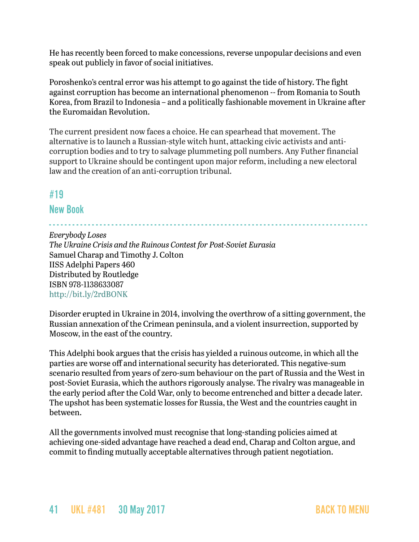He has recently been forced to make concessions, reverse unpopular decisions and even speak out publicly in favor of social initiatives.

Poroshenko's central error was his attempt to go against the tide of history. The fight against corruption has become an international phenomenon -- from Romania to South Korea, from Brazil to Indonesia – and a politically fashionable movement in Ukraine after the Euromaidan Revolution.

The current president now faces a choice. He can spearhead that movement. The alternative is to launch a Russian-style witch hunt, attacking civic activists and anticorruption bodies and to try to salvage plummeting poll numbers. Any Futher financial support to Ukraine should be contingent upon major reform, including a new electoral law and the creation of an anti-corruption tribunal.

## <span id="page-40-0"></span>#19

### New Book

- - - - - - - - - - - - - - - - - - - - - - - - - - - - - - - - - - - - - - - - - - - - - - - - - - - - - - - - - - - - - - - - - - - - - - - - - - - - - - - - - - *Everybody Loses The Ukraine Crisis and the Ruinous Contest for Post-Soviet Eurasia* Samuel Charap and Timothy J. Colton IISS Adelphi Papers 460 Distributed by Routledge ISBN 978-1138633087 <http://bit.ly/2rdBONK>

Disorder erupted in Ukraine in 2014, involving the overthrow of a sitting government, the Russian annexation of the Crimean peninsula, and a violent insurrection, supported by Moscow, in the east of the country.

This Adelphi book argues that the crisis has yielded a ruinous outcome, in which all the parties are worse off and international security has deteriorated. This negative-sum scenario resulted from years of zero-sum behaviour on the part of Russia and the West in post-Soviet Eurasia, which the authors rigorously analyse. The rivalry was manageable in the early period after the Cold War, only to become entrenched and bitter a decade later. The upshot has been systematic losses for Russia, the West and the countries caught in between.

All the governments involved must recognise that long-standing policies aimed at achieving one-sided advantage have reached a dead end, Charap and Colton argue, and commit to finding mutually acceptable alternatives through patient negotiation.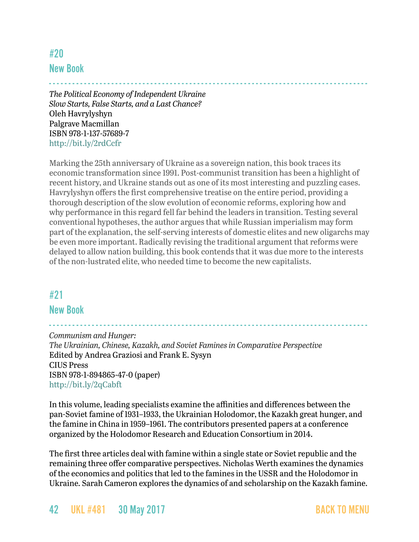<span id="page-41-0"></span>#20 New Book

- - - - - - - - - - - - - - - - - - - - - - - - - - - - - - - - - - - - - - - - - - - - - - - - - - - - - - - - - - - - - - - - - - - - - - - - - - - - - - - - - -

*The Political Economy of Independent Ukraine Slow Starts, False Starts, and a Last Chance?* Oleh Havrylyshyn Palgrave Macmillan ISBN 978-1-137-57689-7 <http://bit.ly/2rdCcfr>

Marking the 25th anniversary of Ukraine as a sovereign nation, this book traces its economic transformation since 1991. Post-communist transition has been a highlight of recent history, and Ukraine stands out as one of its most interesting and puzzling cases. Havrylyshyn offers the first comprehensive treatise on the entire period, providing a thorough description of the slow evolution of economic reforms, exploring how and why performance in this regard fell far behind the leaders in transition. Testing several conventional hypotheses, the author argues that while Russian imperialism may form part of the explanation, the self-serving interests of domestic elites and new oligarchs may be even more important. Radically revising the traditional argument that reforms were delayed to allow nation building, this book contends that it was due more to the interests of the non-lustrated elite, who needed time to become the new capitalists.

# <span id="page-41-1"></span>#21

New Book

- - - - - - - - - - - - - - - - - - - - - - - - - - - - - - - - - - - - - - - - - - - - - - - - - - - - - - - - - - - - - - - - - - - - - - - - - - - - - - - - - - *Communism and Hunger: The Ukrainian, Chinese, Kazakh, and Soviet Famines in Comparative Perspective* Edited by Andrea Graziosi and Frank E. Sysyn CIUS Press ISBN 978-1-894865-47-0 (paper) <http://bit.ly/2qCabft>

In this volume, leading specialists examine the affinities and differences between the pan-Soviet famine of 1931–1933, the Ukrainian Holodomor, the Kazakh great hunger, and the famine in China in 1959–1961. The contributors presented papers at a conference organized by the Holodomor Research and Education Consortium in 2014.

The first three articles deal with famine within a single state or Soviet republic and the remaining three offer comparative perspectives. Nicholas Werth examines the dynamics of the economics and politics that led to the famines in the USSR and the Holodomor in Ukraine. Sarah Cameron explores the dynamics of and scholarship on the Kazakh famine.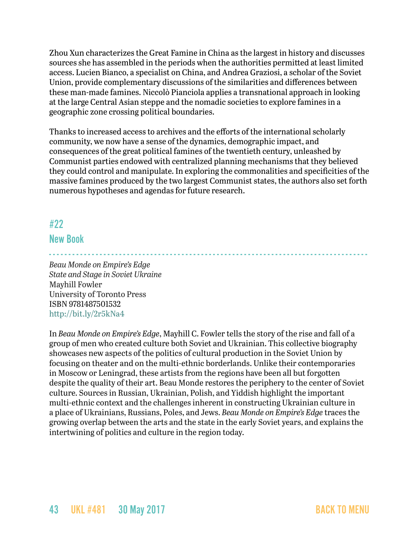Zhou Xun characterizes the Great Famine in China as the largest in history and discusses sources she has assembled in the periods when the authorities permitted at least limited access. Lucien Bianco, a specialist on China, and Andrea Graziosi, a scholar of the Soviet Union, provide complementary discussions of the similarities and differences between these man-made famines. Niccolò Pianciola applies a transnational approach in looking at the large Central Asian steppe and the nomadic societies to explore famines in a geographic zone crossing political boundaries.

Thanks to increased access to archives and the efforts of the international scholarly community, we now have a sense of the dynamics, demographic impact, and consequences of the great political famines of the twentieth century, unleashed by Communist parties endowed with centralized planning mechanisms that they believed they could control and manipulate. In exploring the commonalities and specificities of the massive famines produced by the two largest Communist states, the authors also set forth numerous hypotheses and agendas for future research.

# <span id="page-42-0"></span>#22

## New Book

- - - - - - - - - - - - - - - - - - - - - - - - - - - - - - - - - - - - - - - - - - - - - - - - - - - - - - - - - - - - - - - - - - - - - - - - - - - - - - - - - - *Beau Monde on Empire's Edge State and Stage in Soviet Ukraine*  Mayhill Fowler University of Toronto Press ISBN 9781487501532 <http://bit.ly/2r5kNa4>

In *Beau Monde on Empire's Edge*, Mayhill C. Fowler tells the story of the rise and fall of a group of men who created culture both Soviet and Ukrainian. This collective biography showcases new aspects of the politics of cultural production in the Soviet Union by focusing on theater and on the multi-ethnic borderlands. Unlike their contemporaries in Moscow or Leningrad, these artists from the regions have been all but forgotten despite the quality of their art. Beau Monde restores the periphery to the center of Soviet culture. Sources in Russian, Ukrainian, Polish, and Yiddish highlight the important multi-ethnic context and the challenges inherent in constructing Ukrainian culture in a place of Ukrainians, Russians, Poles, and Jews. *Beau Monde on Empire's Edge* traces the growing overlap between the arts and the state in the early Soviet years, and explains the intertwining of politics and culture in the region today.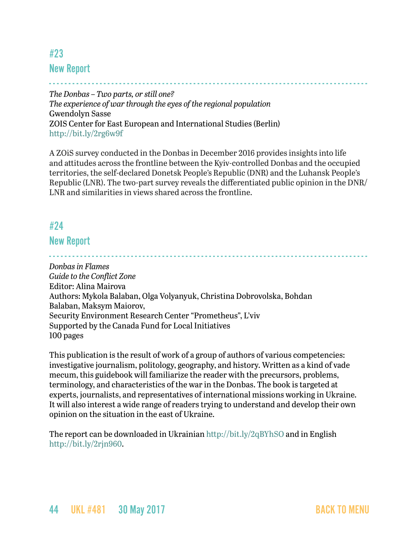# <span id="page-43-0"></span>#23 New Report

- - - - - - - - - - - - - - - - - - - - - - - - - - - - - - - - - - - - - - - - - - - - - - - - - - - - - - - - - - - - - - - - - - - - - - - - - - - - - - - - - - *The Donbas – Two parts, or still one? The experience of war through the eyes of the regional population*  Gwendolyn Sasse ZOIS Center for East European and International Studies (Berlin) <http://bit.ly/2rg6w9f>

A ZOiS survey conducted in the Donbas in December 2016 provides insights into life and attitudes across the frontline between the Kyiv-controlled Donbas and the occupied territories, the self-declared Donetsk People's Republic (DNR) and the Luhansk People's Republic (LNR). The two-part survey reveals the differentiated public opinion in the DNR/ LNR and similarities in views shared across the frontline.

## <span id="page-43-1"></span>#24

### New Report

- - - - - - - - - - - - - - - - - - - - - - - - - - - - - - - - - - - - - - - - - - - - - - - - - - - - - - - - - - - - - - - - - - - - - - - - - - - - - - - - - - *Donbas in Flames Guide to the Conflict Zone* Editor: Alina Mairova Authors: Mykola Balaban, Olga Volyanyuk, Christina Dobrovolska, Bohdan Balaban, Maksym Maiorov, Security Environment Research Center "Prometheus", L'viv Supported by the Canada Fund for Local Initiatives 100 pages

This publication is the result of work of a group of authors of various competencies: investigative journalism, politology, geography, and history. Written as a kind of vade mecum, this guidebook will familiarize the reader with the precursors, problems, terminology, and characteristics of the war in the Donbas. The book is targeted at experts, journalists, and representatives of international missions working in Ukraine. It will also interest a wide range of readers trying to understand and develop their own opinion on the situation in the east of Ukraine.

The report can be downloaded in Ukrainian<http://bit.ly/2qBYhSO> and in English [http://bit.ly/2rjn960.](http://bit.ly/2rjn960)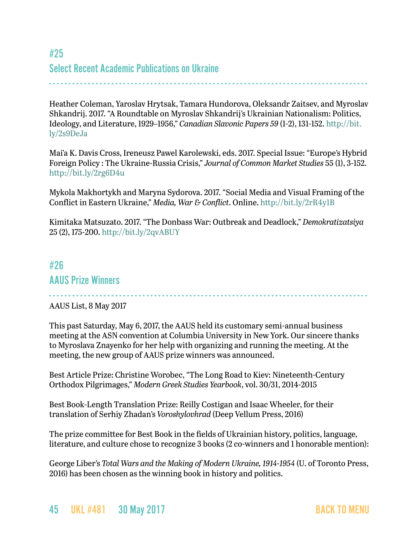# <span id="page-44-0"></span>#25 Select Recent Academic Publications on Ukraine

Heather Coleman, Yaroslav Hrytsak, Tamara Hundorova, Oleksandr Zaitsev, and Myroslav Shkandrij. 2017. "A Roundtable on Myroslav Shkandrij's Ukrainian Nationalism: Politics, Ideology, and Literature, 1929–1956," *Canadian Slavonic Papers 59* (1-2), 131-152. [http://bit.](http://bit.ly/2s9DeJa) [ly/2s9DeJa](http://bit.ly/2s9DeJa)

- - - - - - - - - - - - - - - - - - - - - - - - - - - - - - - - - - - - - - - - - - - - - - - - - - - - - - - - - - - - - - - - - - - - - - - - - - - - - - - - - -

Mai'a K. Davis Cross, Ireneusz Pawel Karolewski, eds. 2017. Special Issue: "Europe's Hybrid Foreign Policy : The Ukraine-Russia Crisis," *Journal of Common Market Studies* 55 (1), 3-152. <http://bit.ly/2rg6D4u>

Mykola Makhortykh and Maryna Sydorova. 2017. "Social Media and Visual Framing of the Conflict in Eastern Ukraine," *Media, War & Conflict*. Online. <http://bit.ly/2rR4y1B>

Kimitaka Matsuzato. 2017. "The Donbass War: Outbreak and Deadlock," *Demokratizatsiya* 25 (2), 175-200. <http://bit.ly/2qvABUY>

# <span id="page-44-1"></span>#26 AAUS Prize Winners

- - - - - - - - - - - - - - - - - - - - - - - - - - - - - - - - - - - - - - - - - - - - - - - - - - - - - - - - - - - - - - - - - - - - - - - - - - - - - - - - - -

### AAUS List, 8 May 2017

This past Saturday, May 6, 2017, the AAUS held its customary semi-annual business meeting at the ASN convention at Columbia University in New York. Our sincere thanks to Myroslava Znayenko for her help with organizing and running the meeting. At the meeting, the new group of AAUS prize winners was announced.

Best Article Prize: Christine Worobec, "The Long Road to Kiev: Nineteenth-Century Orthodox Pilgrimages," *Modern Greek Studies Yearbook*, vol. 30/31, 2014-2015

Best Book-Length Translation Prize: Reilly Costigan and Isaac Wheeler, for their translation of Serhiy Zhadan's *Voroshylovhrad* (Deep Vellum Press, 2016)

The prize committee for Best Book in the fields of Ukrainian history, politics, language, literature, and culture chose to recognize 3 books (2 co-winners and 1 honorable mention):

George Liber's *Total Wars and the Making of Modern Ukraine, 1914-1954* (U. of Toronto Press, 2016) has been chosen as the winning book in history and politics.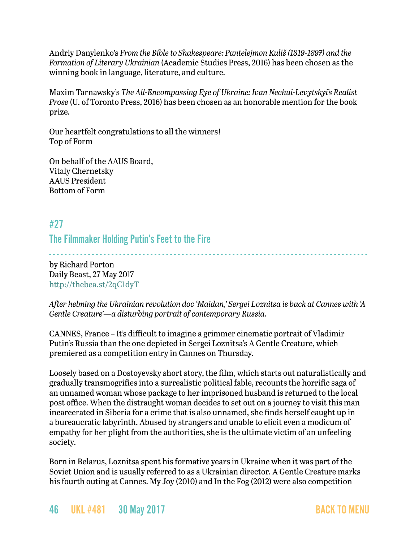Andriy Danylenko's *From the Bible to Shakespeare: Pantelejmon Kuliš (1819-1897) and the Formation of Literary Ukrainian* (Academic Studies Press, 2016) has been chosen as the winning book in language, literature, and culture.

Maxim Tarnawsky's *The All-Encompassing Eye of Ukraine: Ivan Nechui-Levytskyi's Realist Prose* (U. of Toronto Press, 2016) has been chosen as an honorable mention for the book prize.

Our heartfelt congratulations to all the winners! Top of Form

On behalf of the AAUS Board, Vitaly Chernetsky AAUS President Bottom of Form

## #27

## The Filmmaker Holding Putin's Feet to the Fire

- - - - - - - - - - - - - - - - - - - - - - - - - - - - - - - - - - - - - - - - - - - - - - - - - - - - - - - - - - - - - - - - - - - - - - - - - - - - - - - - - by Richard Porton Daily Beast, 27 May 2017 <http://thebea.st/2qC1dyT>

*After helming the Ukrainian revolution doc 'Maidan,' Sergei Loznitsa is back at Cannes with 'A Gentle Creature'—a disturbing portrait of contemporary Russia.*

CANNES, France – It's difficult to imagine a grimmer cinematic portrait of Vladimir Putin's Russia than the one depicted in [Sergei Loznitsa's A Gentle Creature,](http://www.thedailybeast.com/articles/2014/05/24/inside-maidan-sergei-loznitsa-on-his-ukrainian-uprising-doc-and-putin-s-fascist-regime) which premiered as a competition entry in Cannes on Thursday.

Loosely based on a Dostoyevsky short story, the film, which starts out naturalistically and gradually transmogrifies into a surrealistic political fable, recounts the horrific saga of an unnamed woman whose package to her imprisoned husband is returned to the local post office. When the distraught woman decides to set out on a journey to visit this man incarcerated in Siberia for a crime that is also unnamed, she finds herself caught up in a bureaucratic labyrinth. Abused by strangers and unable to elicit even a modicum of empathy for her plight from the authorities, she is the ultimate victim of an unfeeling society.

Born in Belarus, Loznitsa spent his formative years in Ukraine when it was part of the Soviet Union and is usually referred to as a Ukrainian director. A Gentle Creature marks his fourth outing at Cannes. My Joy (2010) and In the Fog (2012) were also competition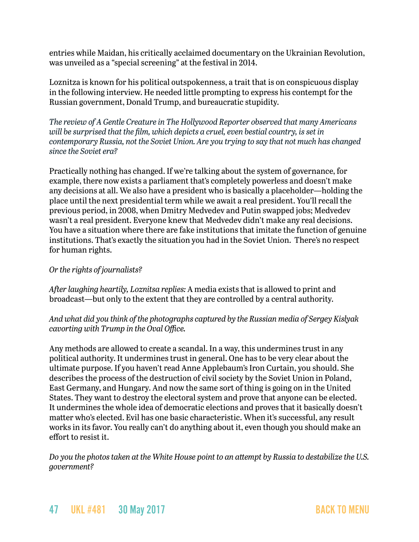entries [while Maidan,](http://www.thedailybeast.com/articles/2014/05/24/inside-maidan-sergei-loznitsa-on-his-ukrainian-uprising-doc-and-putin-s-fascist-regime) his critically acclaimed documentary on the Ukrainian Revolution, was unveiled as a "special screening" at the festival in 2014.

Loznitza is known for his political outspokenness, a trait that is on conspicuous display in the following interview. He needed little prompting to express his contempt for the Russian government, Donald Trump, and bureaucratic stupidity.

*The review of A Gentle Creature in The Hollywood Reporter observed that many Americans will be surprised that the film, which depicts a cruel, even bestial country, is set in contemporary Russia, not the Soviet Union. Are you trying to say that not much has changed since the Soviet era?*

Practically nothing has changed. If we're talking about the system of governance, for example, there now exists a parliament that's completely powerless and doesn't make any decisions at all. We also have a president who is basically a placeholder—holding the place until the next presidential term while we await a real president. You'll recall the previous period, in 2008, when Dmitry Medvedev and Putin swapped jobs; Medvedev wasn't a real president. Everyone knew that Medvedev didn't make any real decisions. You have a situation where there are fake institutions that imitate the function of genuine institutions. That's exactly the situation you had in the Soviet Union. There's no respect for human rights.

### *Or the rights of journalists?*

*After laughing heartily, Loznitsa replies:* A media exists that is allowed to print and broadcast—but only to the extent that they are controlled by a central authority.

### *And what did you think [of the photographs captured by the Russian media](http://www.thedailybeast.com/articles/2017/05/11/daily-show-s-trevor-noah-on-russia-s-oval-office-visit-russia-is-owning-donald-trump-so-hard) of Sergey Kislyak cavorting with Trump in the Oval Office.*

Any methods are allowed to create a scandal. In a way, this undermines trust in any political authority. It undermines trust in general. One has to be very clear about the ultimate purpose. If you haven't read Anne Applebaum's Iron Curtain, you should. She describes the process of the destruction of civil society by the Soviet Union in Poland, East Germany, and Hungary. And now the same sort of thing is going on in the United States. They want to destroy the electoral system and prove that anyone can be elected. It undermines the whole idea of democratic elections and proves that it basically doesn't matter who's elected. Evil has one basic characteristic. When it's successful, any result works in its favor. You really can't do anything about it, even though you should make an effort to resist it.

*Do you the photos taken at the White House point to an attempt by Russia to destabilize the U.S. government?*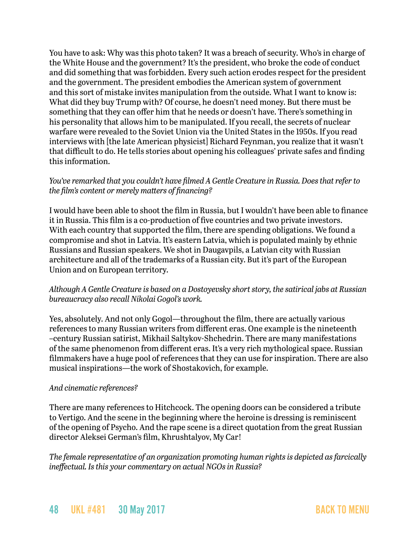You have to ask: Why was this photo taken? It was a breach of security. Who's in charge of the White House and the government? It's the president, who broke the code of conduct and did something that was forbidden. Every such action erodes respect for the president and the government. The president embodies the American system of government and this sort of mistake invites manipulation from the outside. What I want to know is: What did they buy Trump with? Of course, he doesn't need money. But there must be something that they can offer him that he needs or doesn't have. There's something in his personality that allows him to be manipulated. If you recall, the secrets of nuclear warfare were revealed to the Soviet Union via the United States in the 1950s. If you read interviews with [the late American physicist] Richard Feynman, you realize that it wasn't that difficult to do. He [tells stories](http://blog.nuclearsecrecy.com/2014/06/06/feynman-and-the-bomb/) about opening his colleagues' private safes and finding this information.

### *You've remarked that you couldn't have filmed A Gentle Creature in Russia. Does that refer to the film's content or merely matters of financing?*

I would have been able to shoot the film in Russia, but I wouldn't have been able to finance it in Russia. This film is a co-production of five countries and two private investors. With each country that supported the film, there are spending obligations. We found a compromise and shot in Latvia. It's eastern Latvia, which is populated mainly by ethnic Russians and Russian speakers. We shot in Daugavpils, a Latvian city with Russian architecture and all of the trademarks of a Russian city. But it's part of the European Union and on European territory.

### *Although A Gentle Creature is based on a Dostoyevsky short story, the satirical jabs at Russian bureaucracy also recall Nikolai Gogol's work.*

Yes, absolutely. And not only Gogol—throughout the film, there are actually various references to many Russian writers from different eras. One example is the nineteenth –century Russian satirist, Mikhail Saltykov-Shchedrin. There are many manifestations of the same phenomenon from different eras. It's a very rich mythological space. Russian filmmakers have a huge pool of references that they can use for inspiration. There are also musical inspirations—the work of Shostakovich, for example.

### *And cinematic references?*

There are many references to Hitchcock. The opening doors can be considered a tribute to Vertigo. And the scene in the beginning where the heroine is dressing is reminiscent of the opening of Psycho. And the rape scene is a direct quotation from the great Russian director Aleksei German's film, Khrushtalyov, My Car!

*The female representative of an organization promoting human rights is depicted as farcically ineffectual. Is this your commentary on actual NGOs in Russia?*